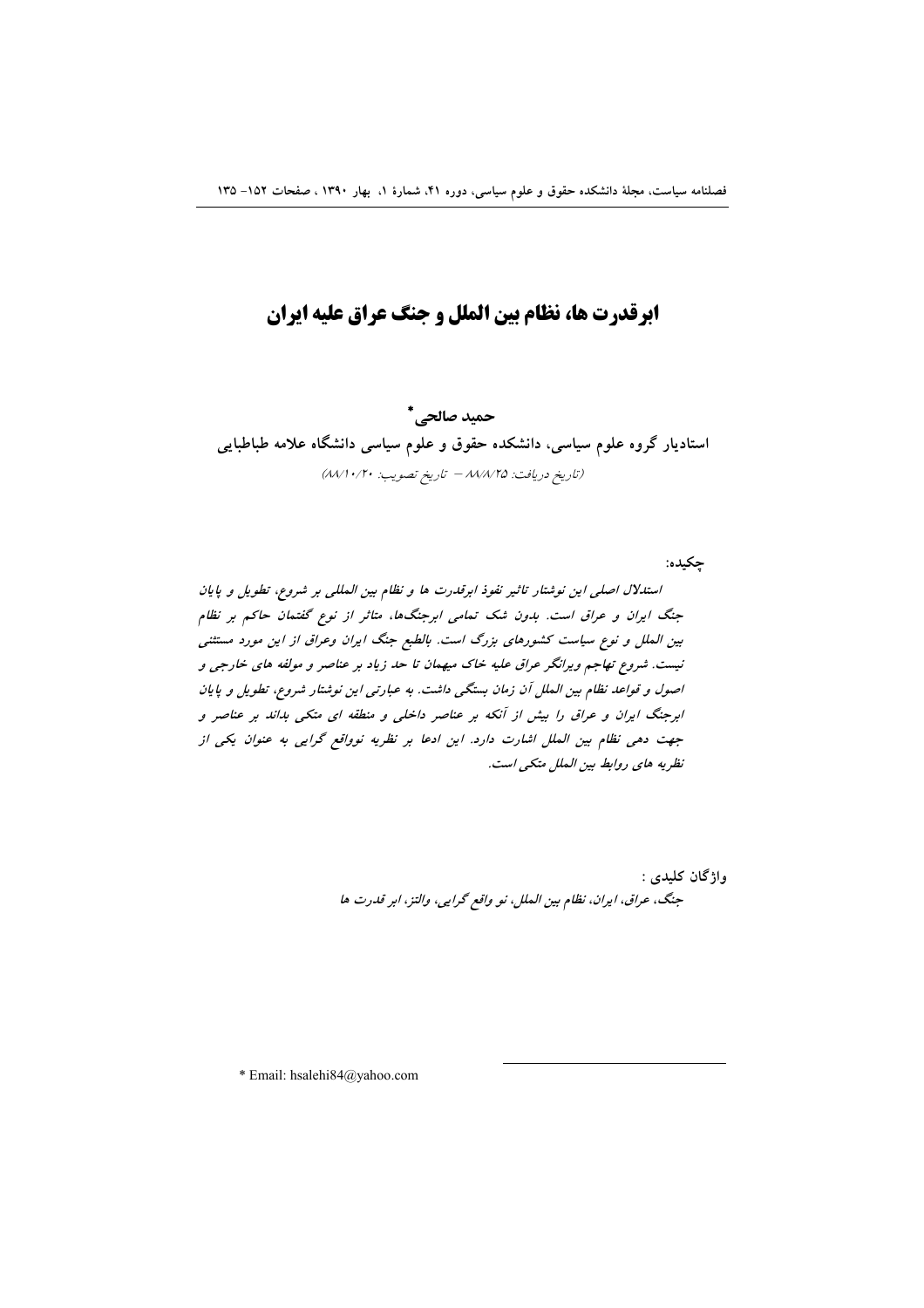# ابرقدرت ها، نظام بین الملل و جنگ عراق علیه ایران

حميد صالحي\* استادیار گروه علوم سیاسی، دانشکده حقوق و علوم سیاسی دانشگاه علامه طباطبایی (تاريخ دريافت: ٨٨/٨/٢٥ - تاريخ تصويب: ٨٨/١٠/٢٠)

جكيده: استدلال اصلی این نوشتار تاثیر نفوذ ابرقدرت ها و نظام بین المللی بر شروع، تطویل و پایان جنگ ایران و عراق است. بدون شک تمامی ابرجنگها، متاثر از نوع گفتمان حاکم بر نظام بین الملل و نوع سیاست کشورهای بزرگ است. بالطبع جنگ ایران وعراق از این مورد مستثنی نیست. شروع تهاجم ویرانگر عراق علیه خاک میهمان تا حد زیاد بر عناصر و مولفه های خارجی و اصول و قواعد نظام بین الملل آن زمان بستگی داشت. به عبارتی این نوشتار شروع، تطویل و پایان ابرجنگ ایران و عراق را بیش از آنکه بر عناصر داخلی و منطقه ای متکی بداند بر عناصر و جهت دهی نظام بین الملل اشارت دارد. این ادعا بر نظریه نوواقع گرایی به عنوان یکی از نظريه هاي روابط بين الملل متكي است.

> واژگان كليدى : جنگ، عراق، ايران، نظام بين الملل، نو واقع گرايي، والتز، ابر قدرت ها

\* Email: hsalehi84@yahoo.com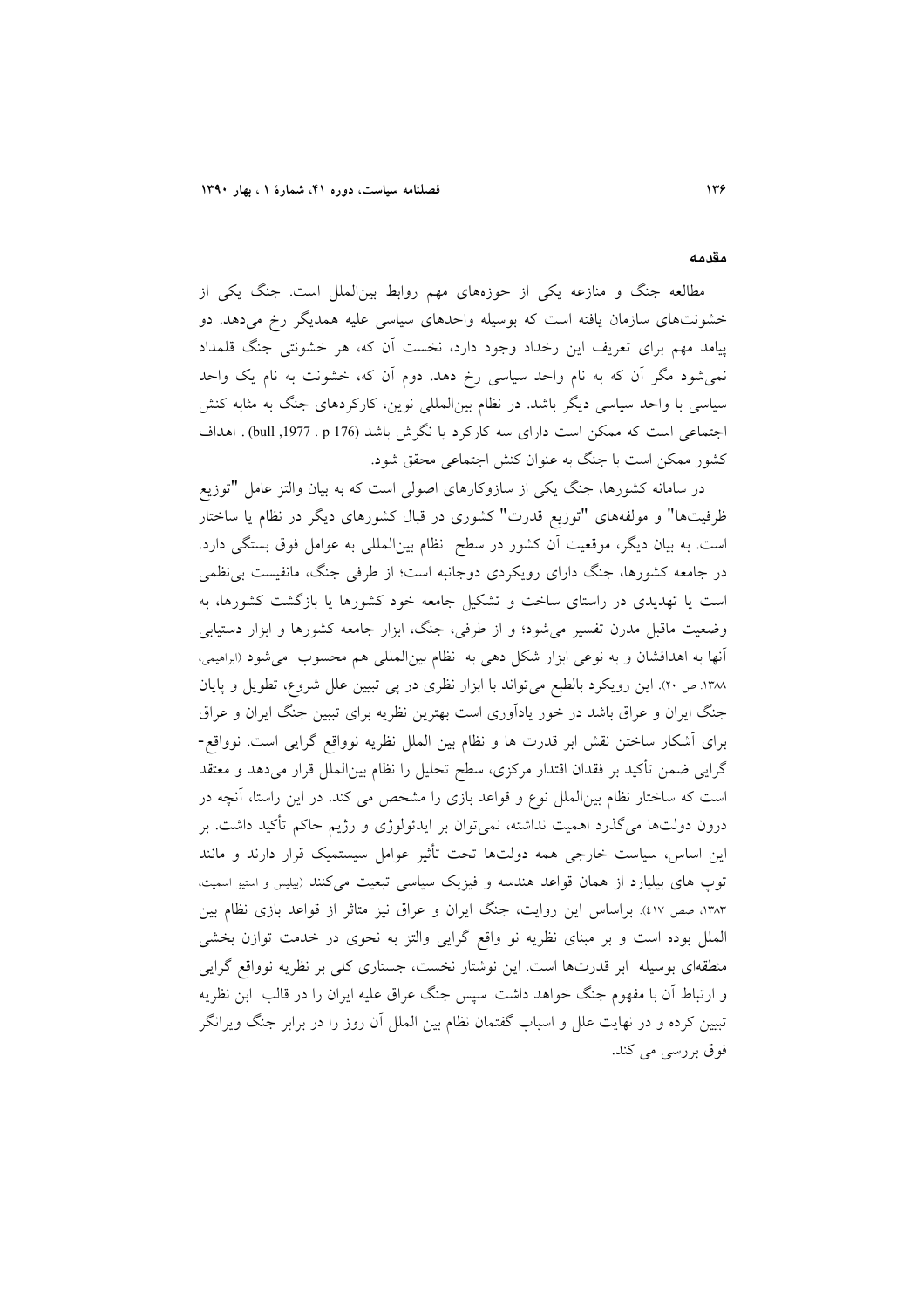مقدمه

مطالعه جنگ و منازعه یکی از حوزههای مهم روابط بینالملل است. جنگ یکی از خشونتهای سازمان یافته است که بوسیله واحدهای سیاسی علیه همدیگر رخ میدهد. دو پیامد مهم برای تعریف این رخداد وجود دارد، نخست آن که، هر خشونتی جنگ قلمداد نمی شود مگر آن که به نام واحد سیاسی رخ دهد. دوم آن که، خشونت به نام یک واحد سیاسی با واحد سیاسی دیگر باشد. در نظام بین|لمللی نوین، کارکردهای جنگ به مثابه کنش اجتماعی است که ممکن است دارای سه کارکرد یا نگرش باشد (176 pull ,1977 . p) . اهداف كشور ممكن است با جنگ به عنوان كنش اجتماعي محقق شود.

در سامانه کشورها، جنگ یکی از سازوکارهای اصولی است که به بیان والتز عامل "توزیع ظرفیتها" و مولفههای "توزیع قدرت" کشوری در قبال کشورهای دیگر در نظام یا ساختار است. به بیان دیگر، موقعیت آن کشور در سطح نظام بینالمللی به عوامل فوق بستگی دارد. در جامعه کشورها، جنگ دارای رویکردی دوجانبه است؛ از طرفی جنگ، مانفیست بی نظمی است یا تهدیدی در راستای ساخت و تشکیل جامعه خود کشورها یا بازگشت کشورها، به وضعیت ماقبل مدرن تفسیر می شود؛ و از طرفی، جنگ، ابزار جامعه کشورها و ابزار دستیابی آنها به اهدافشان و به نوعی ابزار شکل دهی به نظام بینالمللی هم محسوب می شود (ابراهیمی، ۱۳۸۸ ص ۲۰). این رویکرد بالطبع میتواند با ابزار نظری در پی تبیین علل شروع، تطویل و پایان جنگ ایران و عراق باشد در خور یادآوری است بهترین نظریه برای تببین جنگ ایران و عراق برای أشکار ساختن نقش ابر قدرت ها و نظام بین الملل نظریه نوواقع گرایی است. نوواقع-گرایی ضمن تأکید بر فقدان اقتدار مرکزی، سطح تحلیل را نظام بین|لملل قرار میدهد و معتقد است که ساختار نظام بین|لملل نوع و قواعد بازی را مشخص می کند. در این راستا، آنچه در درون دولتها میگذرد اهمیت نداشته، نمیٍتوان بر ایدئولوژی و رژیم حاکم تأکید داشت. بر این اساس، سیاست خارجی همه دولتها تحت تأثیر عوامل سیستمیک قرار دارند و مانند توپ های بیلیارد از همان قواعد هندسه و فیزیک سیاسی تبعیت میکنند (بیلیس و استیو اسمیت، ۱۳۸۳، صص ٤١٧). براساس این روایت، جنگ ایران و عراق نیز متاثر از قواعد بازی نظام بین الملل بوده است و بر مبناى نظريه نو واقع گرايى والتز به نحوى در خدمت توازن بخشى منطقهای بوسیله ابر قدرتها است. این نوشتار نخست، جستاری کلی بر نظریه نوواقع گرایی و ارتباط آن با مفهوم جنگ خواهد داشت. سپس جنگ عراق علیه ایران را در قالب ابن نظریه تبیین کرده و در نهایت علل و اسباب گفتمان نظام بین الملل آن روز را در برابر جنگ ویرانگر فوق بررسی می کند.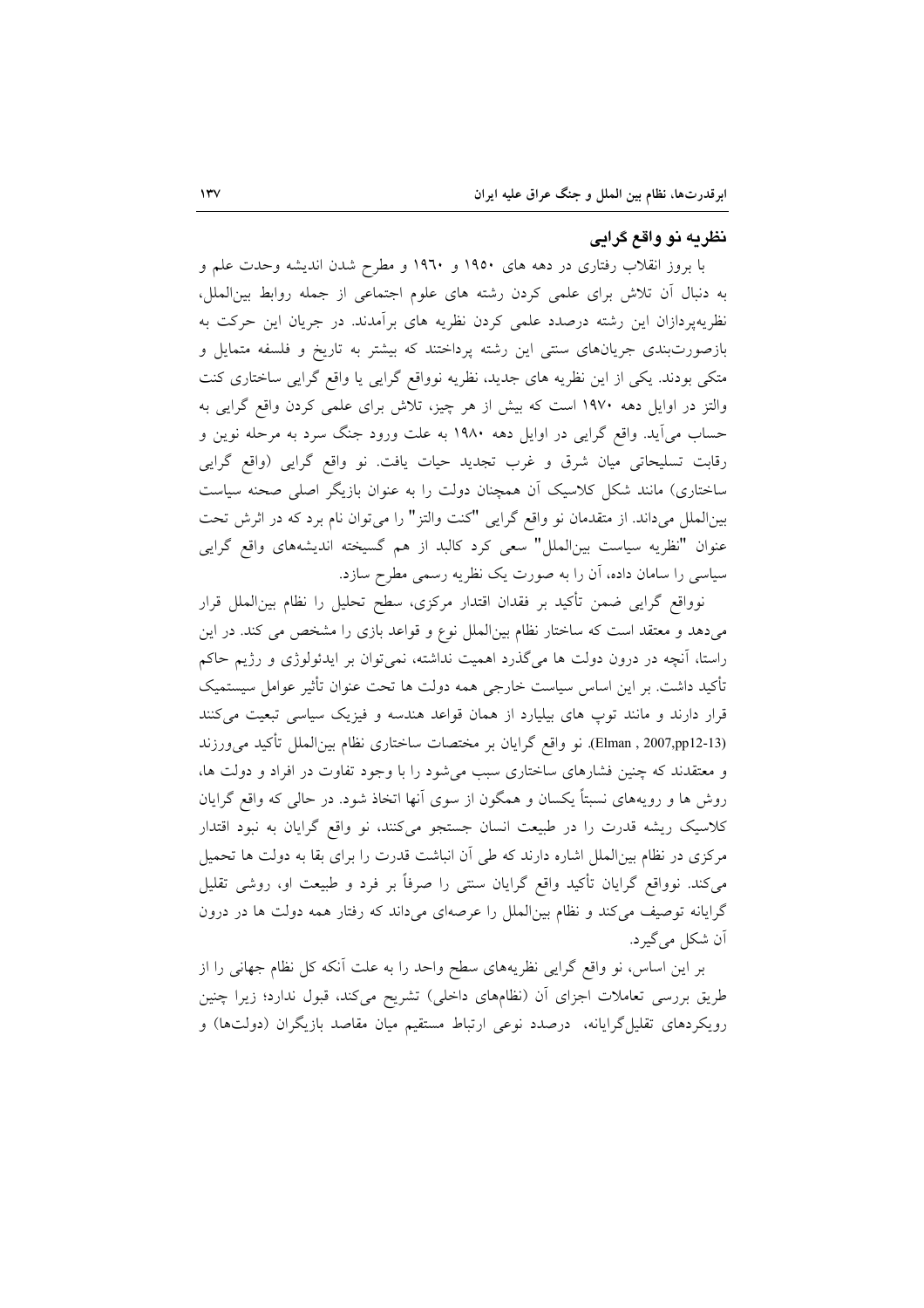#### نظریه نو واقع گرایی

با بروز انقلاب رفتاری در دهه های ۱۹۵۰ و ۱۹٦۰ و مطرح شدن اندیشه وحدت علم و به دنبال أن تلاش برای علمی کردن رشته های علوم اجتماعی از جمله روابط بینالملل، نظریهپردازان این رشته درصدد علمی کردن نظریه های برآمدند. در جریان این حرکت به بازصورتبندی جریانهای سنتی این رشته پرداختند که بیشتر به تاریخ و فلسفه متمایل و متکی بودند. یکی از این نظریه های جدید، نظریه نوواقع گرایی یا واقع گرایی ساختاری کنت والتز در اوایل دهه ۱۹۷۰ است که بیش از هر چیز، تلاش برای علمی کردن واقع گرایی به حساب می آید. واقع گرایی در اوایل دهه ۱۹۸۰ به علت ورود جنگ سرد به مرحله نوین و رقابت تسليحاتي ميان شرق و غرب تجديد حيات يافت. نو واقع گرايي (واقع گرايي ساختاری) مانند شکل کلاسیک آن همچنان دولت را به عنوان بازیگر اصلی صحنه سیاست بینالملل میداند. از متقدمان نو واقع گرایی "کنت والتز" را میتوان نام برد که در اثرش تحت عنوان "نظريه سياست بينالملل" سعى كرد كالبد از هم گسيخته انديشههاى واقع گرايى سیاسی را سامان داده، آن را به صورت یک نظریه رسمی مطرح سازد.

نوواقع گرایی ضمن تأکید بر فقدان اقتدار مرکزی، سطح تحلیل را نظام بینالملل قرار میدهد و معتقد است که ساختار نظام بین الملل نوع و قواعد بازی را مشخص می کند. در این راستا، آنچه در درون دولت ها میگذرد اهمیت نداشته، نمیتوان بر ایدئولوژی و رژیم حاکم تأكيد داشت. بر اين اساس سياست خارجي همه دولت ها تحت عنوان تأثير عوامل سيستميك قرار دارند و مانند توپ های بیلیارد از همان قواعد هندسه و فیزیک سیاسی تبعیت میکنند (Elman , 2007,pp12-13). نو واقع گرایان بر مختصات ساختاری نظام بین الملل تأکید می ورزند و معتقدند که چنین فشارهای ساختاری سبب میشود را با وجود تفاوت در افراد و دولت ها، روش ها و رویههای نسبتاً یکسان و همگون از سوی آنها اتخاذ شود. در حالی که واقع گرایان کلاسیک ریشه قدرت را در طبیعت انسان جستجو میکنند، نو واقع گرایان به نبود اقتدار مرکزی در نظام بینالملل اشاره دارند که طی آن انباشت قدرت را برای بقا به دولت ها تحمیل میکند. نوواقع گرایان تأکید واقع گرایان سنتی را صرفاً بر فرد و طبیعت او، روشی تقلیل گرایانه توصیف میکند و نظام بین الملل را عرصهای میداند که رفتار همه دولت ها در درون اَن شکل میگیرد.

بر این اساس، نو واقع گرایی نظریههای سطح واحد را به علت أنکه کل نظام جهانی را از طریق بررسی تعاملات اجزای آن (نظامهای داخلی) تشریح میکند، قبول ندارد؛ زیرا چنین رویکردهای تقلیل۶گرایانه، درصدد نوعی ارتباط مستقیم میان مقاصد بازیگران (دولتها) و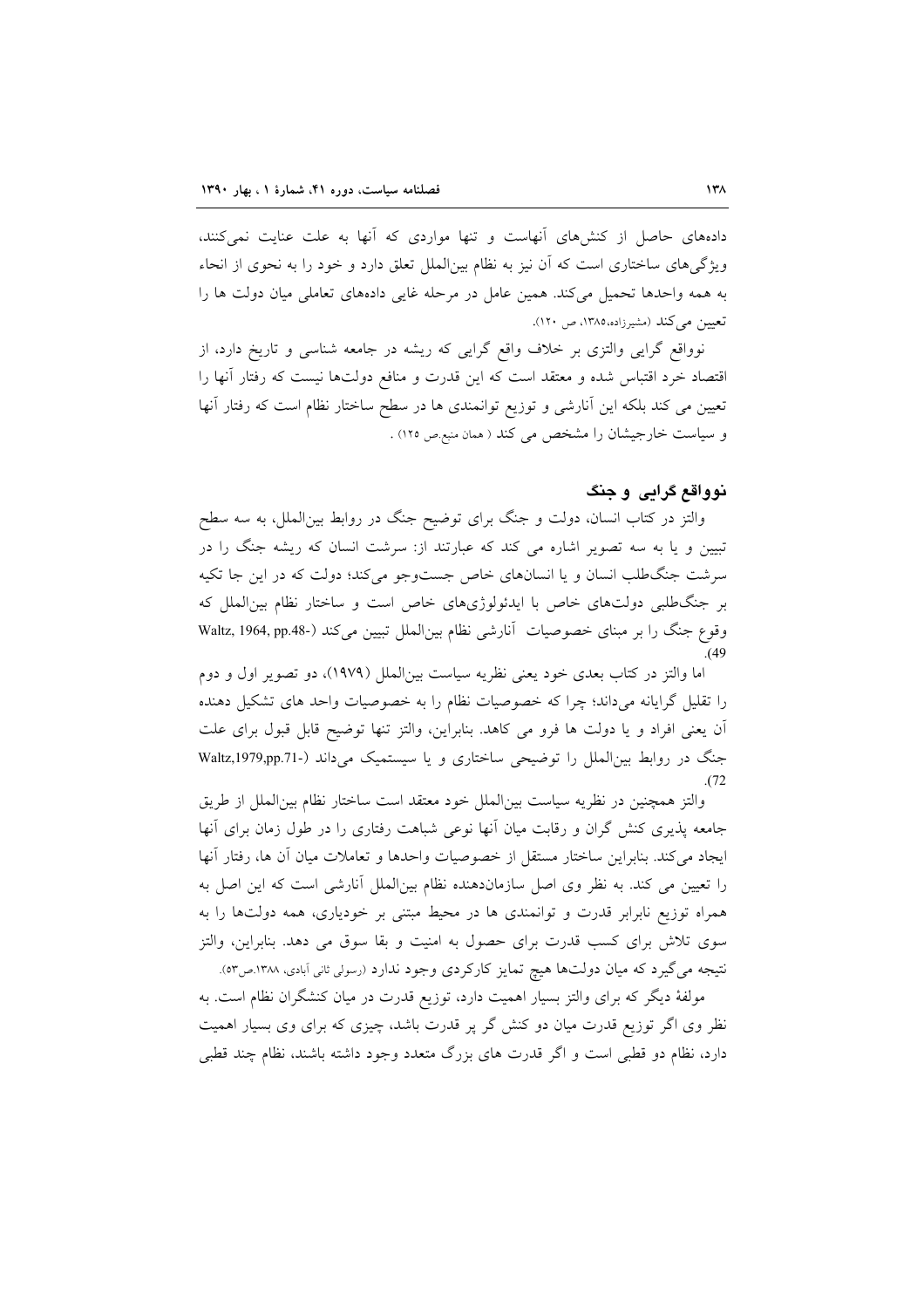دادههای حاصل از کنشهای آنهاست و تنها مواردی که آنها به علت عنایت نمی کنند، ویژگی های ساختاری است که آن نیز به نظام بین|لملل تعلق دارد و خود را به نحوی از انحاء به همه واحدها تحمیل میکند. همین عامل در مرحله غایی دادههای تعاملی میان دولت ها را تعیین می کند (مشیرزاده،۱۳۸۵، ص ۱۲۰).

نوواقع گرایی والتزی بر خلاف واقع گرایی که ریشه در جامعه شناسی و تاریخ دارد، از اقتصاد خرد اقتباس شده و معتقد است که این قدرت و منافع دولتها نیست که رفتار أنها را تعیین می کند بلکه این آنارشی و توزیع توانمندی ها در سطح ساختار نظام است که رفتار آنها و سیاست خارجیشان را مشخص می کند ( همان منبع ص ١٢٥) .

## نوواقع گرابی و جنگ

والتز در کتاب انسان، دولت و جنگ برای توضیح جنگ در روابط بین|لملل، به سه سطح تبیین و یا به سه تصویر اشاره می کند که عبارتند از: سرشت انسان که ریشه جنگ را در سرشت جنگ طلب انسان و یا انسانهای خاص جستوجو میکند؛ دولت که در این جا تکیه بر جنگ طلبی دولتهای خاص با ایدئولوژیهای خاص است و ساختار نظام بین الملل که وقوع جنگ را بر مبنای خصوصیات آنارشی نظام بینالملل تبیین میکند (-Waltz, 1964, pp.48

اما والتز در کتاب بعدی خود یعنی نظریه سیاست بین(لملل (۱۹۷۹)، دو تصویر اول و دوم را تقلیل گرایانه میداند؛ چرا که خصوصیات نظام را به خصوصیات واحد های تشکیل دهنده آن يعني افراد و يا دولت ها فرو مي كاهد. بنابراين، والتز تنها توضيح قابل قبول براي علت جنگ در روابط بین الملل را توضیحی ساختاری و یا سیستمیک می داند (-Waltz,1979,pp.71  $(72)$ 

والتز همچنین در نظریه سیاست بین الملل خود معتقد است ساختار نظام بین الملل از طریق جامعه پذیری کنش گران و رقابت میان آنها نوعی شباهت رفتاری را در طول زمان برای آنها ايجاد مي كند. بنابراين ساختار مستقل از خصوصيات واحدها و تعاملات ميان آن ها، رفتار آنها را تعیین می کند. به نظر وی اصل سازماندهنده نظام بینالملل آنارشی است که این اصل به همراه توزیع نابرابر قدرت و توانمندی ها در محیط مبتنی بر خودیاری، همه دولتها را به سوی تلاش برای کسب قدرت برای حصول به امنیت و بقا سوق می دهد. بنابراین، والتز نتیجه می گیرد که میان دولتها هیچ تمایز کارکردی وجود ندارد (رسولی ثانی آبادی، ۱۳۸۸.ص٥٣).

مولفهٔ دیگر که برای والتز بسیار اهمیت دارد، توزیع قدرت در میان کنشگران نظام است. به نظر وی اگر توزیع قدرت میان دو کنش گر پر قدرت باشد، چیزی که برای وی بسیار اهمیت دارد، نظام دو قطبی است و اگر قدرت های بزرگ متعدد وجود داشته باشند، نظام چند قطبی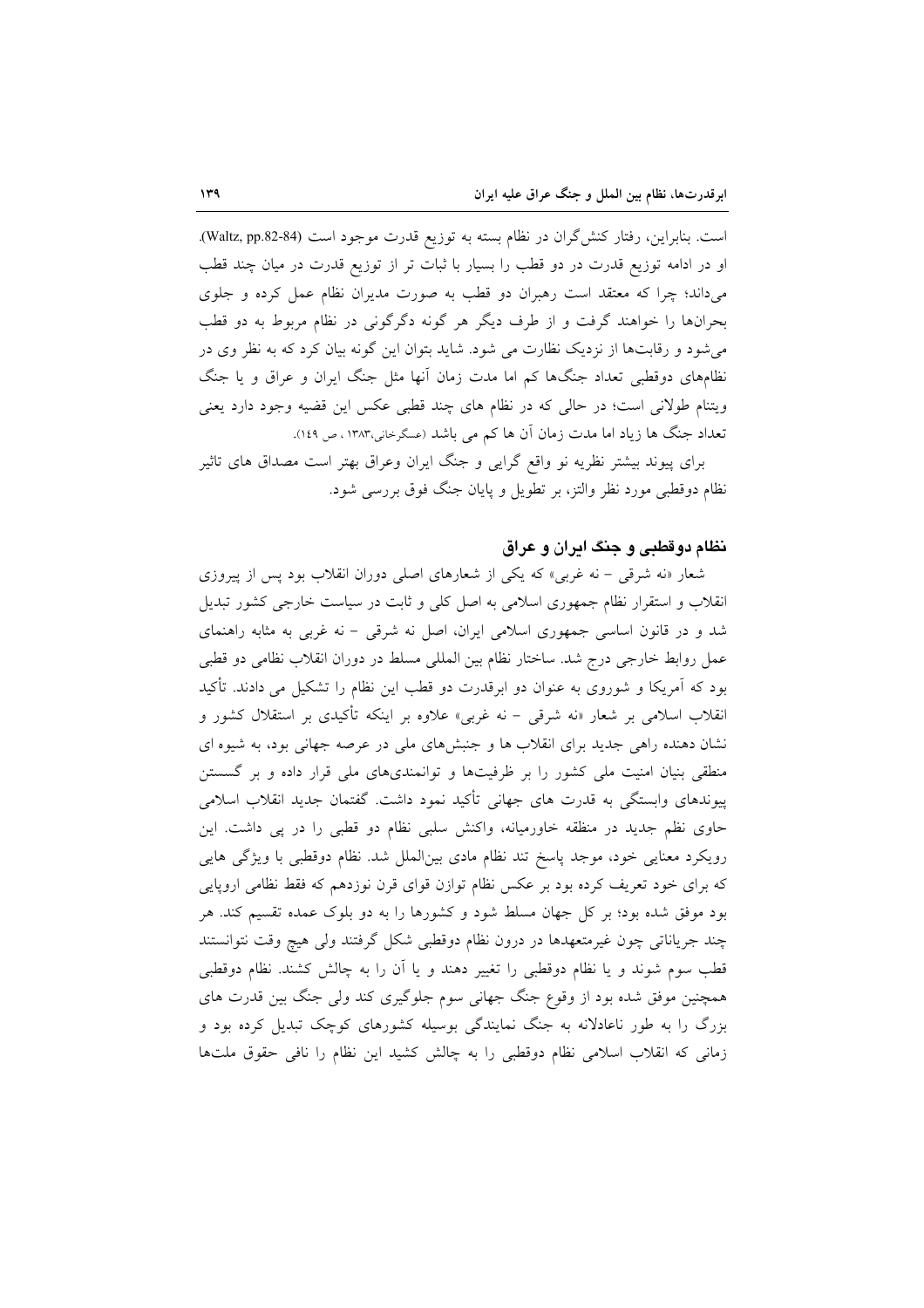است. بنابراین، رفتار کنش گران در نظام بسته به توزیع قدرت موجود است (Waltz, pp.82-84). او در ادامه توزیع قدرت در دو قطب را بسیار با ثبات تر از توزیع قدرت در میان چند قطب میداند؛ چرا که معتقد است رهبران دو قطب به صورت مدیران نظام عمل کرده و جلوی بحرانها را خواهند گرفت و از طرف دیگر هر گونه دگرگونی در نظام مربوط به دو قطب می شود و رقابتها از نزدیک نظارت می شود. شاید بتوان این گونه بیان کرد که به نظر وی در نظامهای دوقطبی تعداد جنگها کم اما مدت زمان أنها مثل جنگ ایران و عراق و یا جنگ ويتنام طولاني است؛ در حالي كه در نظام هاي چند قطبي عكس اين قضيه وجود دارد يعني تعداد جنگ ها زياد اما مدت زمان آن ها كم مى باشد (عسگرخانى،١٣٨٣، ص ١٤٩).

برای پیوند بیشتر نظریه نو واقع گرایی و جنگ ایران وعراق بهتر است مصداق های تاثیر نظام دوقطبی مورد نظر والتز، بر تطویل و پایان جنگ فوق بررسی شود.

#### نظام دوقطبي و جنگ ايران و عراق

شعار «نه شرقی - نه غربی» که یکی از شعارهای اصلی دوران انقلاب بود پس از پیروزی انقلاب و استقرار نظام جمهوری اسلامی به اصل کلی و ثابت در سیاست خارجی کشور تبدیل شد و در قانون اساسی جمهوری اسلامی ایران، اصل نه شرقی - نه غربی به مثابه راهنمای عمل روابط خارجی درج شد. ساختار نظام بین المللی مسلط در دوران انقلاب نظامی دو قطبی بود که آمریکا و شوروی به عنوان دو ابرقدرت دو قطب این نظام را تشکیل می دادند. تأکید انقلاب اسلامی بر شعار «نه شرقی – نه غربی» علاوه بر اینکه تأکیدی بر استقلال کشور و نشان دهنده راهی جدید برای انقلاب ها و جنبشهای ملی در عرصه جهانی بود، به شیوه ای منطقی بنیان امنیت ملی کشور را بر ظرفیتها و توانمندیهای ملی قرار داده و بر گسستن پیوندهای وابستگی به قدرت های جهانی تأکید نمود داشت. گفتمان جدید انقلاب اسلامی حاوی نظم جدید در منظقه خاورمیانه، واکنش سلبی نظام دو قطبی را در پی داشت. این رویکرد معنایی خود، موجد پاسخ تند نظام مادی بین|لملل شد. نظام دوقطبی با ویژگی هایی که برای خود تعریف کرده بود بر عکس نظام توازن قوای قرن نوزدهم که فقط نظامی اروپایی بود موفق شده بود؛ بر کل جهان مسلط شود و کشورها را به دو بلوک عمده تقسیم کند. هر چند جریاناتی چون غیرمتعهدها در درون نظام دوقطبی شکل گرفتند ولی هیچ وقت نتوانستند قطب سوم شوند و یا نظام دوقطبی را تغییر دهند و یا اَن را به چالش کشند. نظام دوقطبی همچنین موفق شده بود از وقوع جنگ جهانی سوم جلوگیری کند ولی جنگ بین قدرت های بزرگ را به طور ناعادلانه به جنگ نمایندگی بوسیله کشورهای کوچک تبدیل کرده بود و زمانی که انقلاب اسلامی نظام دوقطبی را به چالش کشید این نظام را نافی حقوق ملتها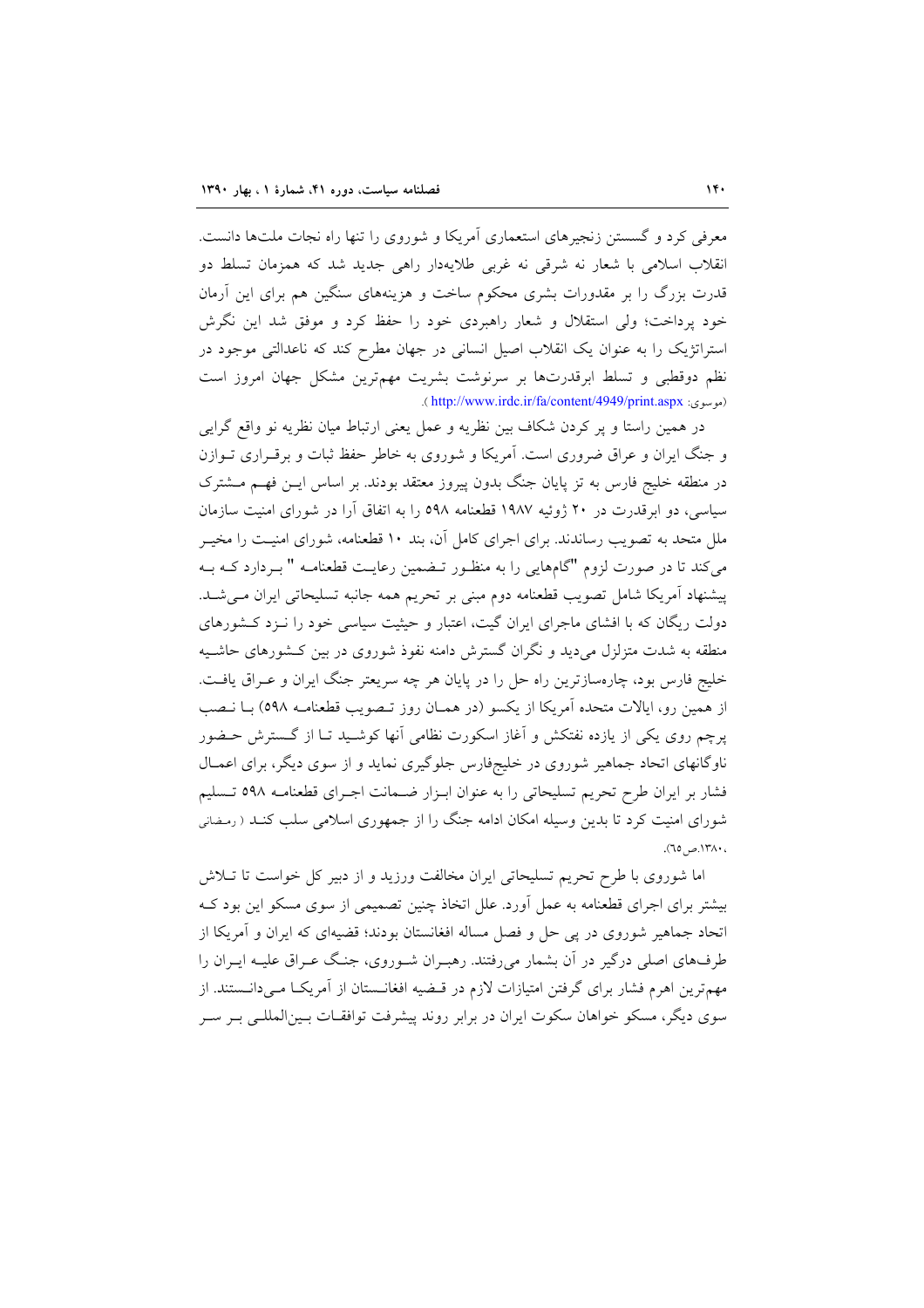معرفی کرد و گسستن زنجیرهای استعماری آمریکا و شوروی را تنها راه نجات ملتها دانست. انقلاب اسلامی با شعار نه شرقی نه غربی طلایهدار راهی جدید شد که همزمان تسلط دو قدرت بزرگ را بر مقدورات بشری محکوم ساخت و هزینههای سنگین هم برای این آرمان خود یرداخت؛ ولی استقلال و شعار راهبردی خود را حفظ کرد و موفق شد این نگرش استراتژیک را به عنوان یک انقلاب اصیل انسانی در جهان مطرح کند که ناعدالتی موجود در نظم دوقطبی و تسلط ابرقدرتها بر سرنوشت بشریت مهمترین مشکل جهان امروز است (موسوی: http://www.irdc.ir/fa/content/4949/print.aspx).

در همین راستا و پر کردن شکاف بین نظریه و عمل یعنی ارتباط میان نظریه نو واقع گرایی و جنگ ایران و عراق ضروری است. آمریکا و شوروی به خاطر حفظ ثبات و برقـراری تـوازن در منطقه خلیج فارس به تز پایان جنگ بدون پیروز معتقد بودند. بر اساس ایــن فهــم مــشترک سیاسی، دو ابرقدرت در ۲۰ ژوئیه ۱۹۸۷ قطعنامه ۵۹۸ را به اتفاق آرا در شورای امنیت سازمان ملل متحد به تصویب رساندند. برای اجرای کامل آن، بند ۱۰ قطعنامه، شورای امنیـت را مخیــر می کند تا در صورت لزوم "گامهایی را به منظـور تـضمین رعایـت قطعنامـه " بــردارد کــه بــه پیشنهاد آمریکا شامل تصویب قطعنامه دوم مبنی بر تحریم همه جانبه تسلیحاتی ایران مـیشـد. دولت ریگان که با افشای ماجرای ایران گیت، اعتبار و حیثیت سیاسی خود را نـزد کـشورهای منطقه به شدت متزلزل میدید و نگران گسترش دامنه نفوذ شوروی در بین کـشورهای حاشـیه خلیج فارس بود، چارهسازترین راه حل را در پایان هر چه سریعتر جنگ ایران و عـراق یافـت. از همین رو، ایالات متحده آمریکا از یکسو (در همـان روز تـصویب قطعنامـه ٥٩٨) بــا نـصب یرچم روی یکی از یازده نفتکش و آغاز اسکورت نظامی آنها کوشـید تـا از گـسترش حـضور ناوگانهای اتحاد جماهیر شوروی در خلیجفارس جلوگیری نماید و از سوی دیگر، برای اعمـال فشار بر ایران طرح تحریم تسلیحاتی را به عنوان ابـزار ضـمانت اجـرای قطعنامـه ٥٩٨ تـسليم شورای امنیت کرد تا بدین وسیله امکان ادامه جنگ را از جمهوری اسلامی سلب کنـد ( رمـضانی ، ۱۳۸۰.ص ۲۵).

اما شوروی با طرح تحریم تسلیحاتی ایران مخالفت ورزید و از دبیر کل خواست تا تــلاش بیشتر برای اجرای قطعنامه به عمل اَورد. علل اتخاذ چنین تصمیمی از سوی مسکو این بود کـه اتحاد جماهیر شوروی در پی حل و فصل مساله افغانستان بودند؛ قضیهای که ایران و آمریکا از طرفهای اصلی درگیر در آن بشمار میرفتند. رهبـران شـوروی، جنـگ عـراق علیـه ایـران را مهمترین اهرم فشار برای گرفتن امتیازات لازم در قـضیه افغانـستان از آمریکـا مـیدانـستند. از سوی دیگر، مسکو خواهان سکوت ایران در برابر روند پیشرفت توافقـات بـینالمللـی بـر سـر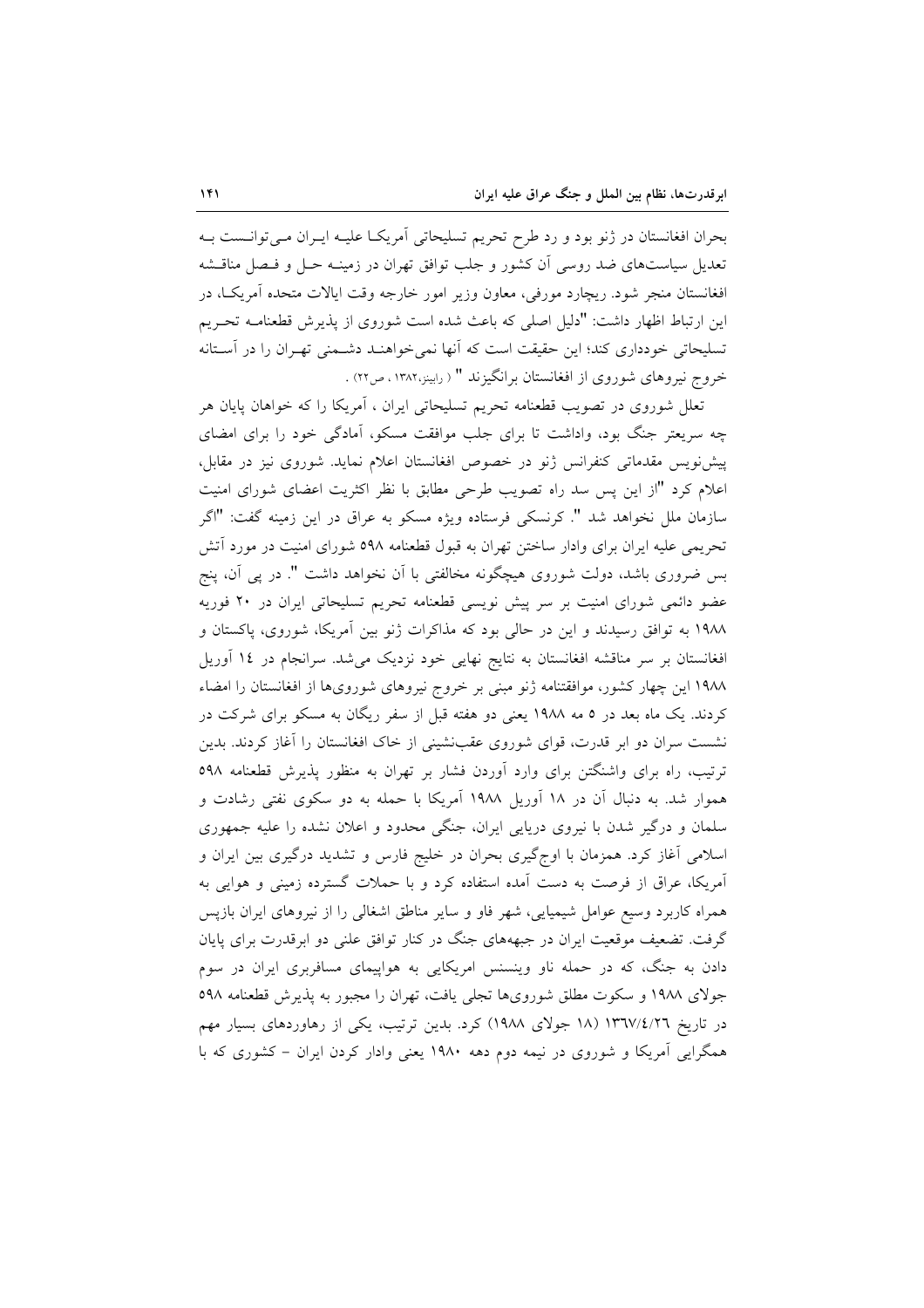بحران افغانستان در ژنو بود و رد طرح تحریم تسلیحاتی آمریکـا علیـه ایــران مــیتوانــست بــه تعدیل سیاستهای ضد روسی اَن کشور و جلب توافق تهران در زمینـه حـل و فـصل مناقــشه افغانستان منجر شود. ریچارد مورفی، معاون وزیر امور خارجه وقت ایالات متحده أمریکـا، در این ارتباط اظهار داشت: "دلیل اصلی که باعث شده است شوروی از پذیرش قطعنامـه تحـریم تسلیحاتی خودداری کند؛ این حقیقت است که آنها نمیخواهنـد دشـمنی تهـران را در آسـتانه خروج نیروهای شوروی از افغانستان برانگیزند " ( رابینز،۱۳۸۲، ص۲۲) .

تعلل شوروی در تصویب قطعنامه تحریم تسلیحاتی ایران ، آمریکا را که خواهان پایان هر چه سریعتر جنگ بود، واداشت تا برای جلب موافقت مسکو، آمادگی خود را برای امضای پیش نویس مقدماتی کنفرانس ژنو در خصوص افغانستان اعلام نماید. شوروی نیز در مقابل، اعلام کرد "از این پس سد راه تصویب طرحی مطابق با نظر اکثریت اعضای شورای امنیت سازمان ملل نخواهد شد ". كرنسكي فرستاده ويژه مسكو به عراق در اين زمينه گفت: "اگر تحریمی علیه ایران برای وادار ساختن تهران به قبول قطعنامه ۵۹۸ شورای امنیت در مورد آتش بس ضروری باشد، دولت شوروی هیچگونه مخالفتی با آن نخواهد داشت ". در پی آن، پنج عضو دائمی شورای امنیت بر سر پیش نویسی قطعنامه تحریم تسلیحاتی ایران در ۲۰ فوریه ۱۹۸۸ به توافق رسیدند و این در حالی بود که مذاکرات ژنو بین آمریکا، شوروی، پاکستان و افغانستان بر سر مناقشه افغانستان به نتايج نهايي خود نزديک مي شد. سرانجام در ١٤ آوريل ۱۹۸۸ این چهار کشور، موافقتنامه ژنو مبنی بر خروج نیروهای شورویها از افغانستان را امضاء کردند. یک ماه بعد در ۵ مه ۱۹۸۸ یعنی دو هفته قبل از سفر ریگان به مسکو برای شرکت در نشست سران دو ابر قدرت، قوای شوروی عقبنشینی از خاک افغانستان را آغاز کردند. بدین ترتیب، راه برای واشنگتن برای وارد آوردن فشار بر تهران به منظور پذیرش قطعنامه ٥٩٨ هموار شد. به دنبال آن در ۱۸ آوریل ۱۹۸۸ آمریکا با حمله به دو سکوی نفتی رشادت و سلمان و درگیر شدن با نیروی دریایی ایران، جنگی محدود و اعلان نشده را علیه جمهوری اسلامی آغاز کرد. همزمان با اوج گیری بحران در خلیج فارس و تشدید درگیری بین ایران و آمریکا، عراق از فرصت به دست آمده استفاده کرد و با حملات گسترده زمینی و هوایی به همراه کاربرد وسیع عوامل شیمیایی، شهر فاو و سایر مناطق اشغالی را از نیروهای ایران بازیس گرفت. تضعیف موقعیت ایران در جبهههای جنگ در کنار توافق علنی دو ابرقدرت برای پایان دادن به جنگ، که در حمله ناو وینسنس امریکایی به هواپیمای مسافربری ایران در سوم جولای ۱۹۸۸ و سکوت مطلق شورویها تجلی یافت، تهران را مجبور به پذیرش قطعنامه ۵۹۸ در تاریخ ۱۳٦٧/٤/٢٦ (۱۸ جولای ۱۹۸۸) کرد. بدین ترتیب، یکی از رهاوردهای بسیار مهم همگرایی آمریکا و شوروی در نیمه دوم دهه ۱۹۸۰ یعنی وادار کردن ایران – کشوری که با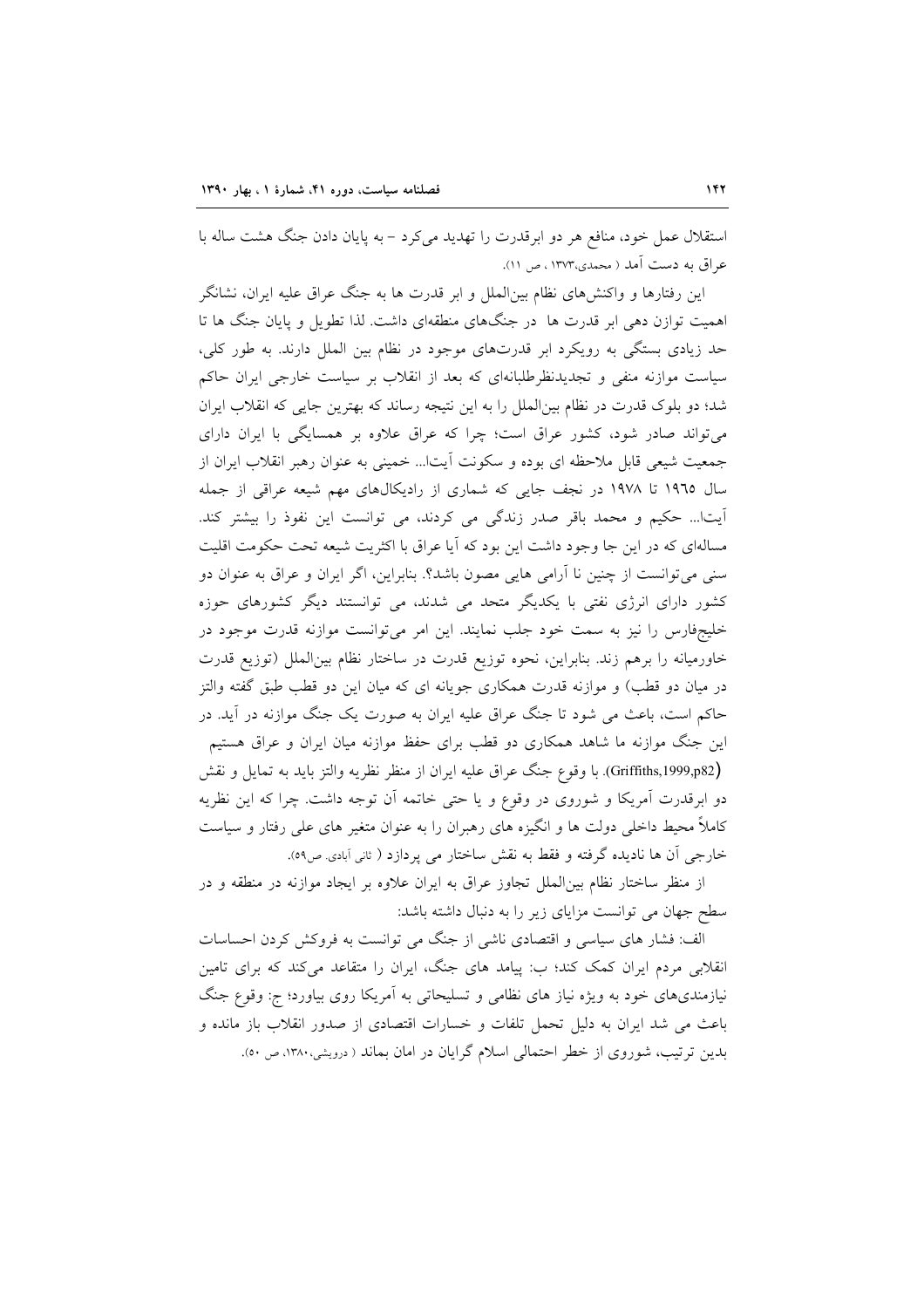استقلال عمل خود، منافع هر دو ابرقدرت را تهدید می کرد – به پایان دادن جنگ هشت ساله با عراق به دست آمد ( محمدی،۱۳۷۳ ، ص ۱۱).

این رفتارها و واکنشهای نظام بین|لملل و ابر قدرت ها به جنگ عراق علیه ایران، نشانگر اهمیت توازن دهی ابر قدرت ها در جنگهای منطقهای داشت. لذا تطویل و پایان جنگ ها تا حد زیادی بستگی به رویکرد ابر قدرتهای موجود در نظام بین الملل دارند. به طور کلی، سیاست موازنه منفی و تجدیدنظرطلبانهای که بعد از انقلاب بر سیاست خارجی ایران حاکم شد؛ دو بلوک قدرت در نظام بین الملل را به این نتیجه رساند که بهترین جایی که انقلاب ایران می تواند صادر شود، کشور عراق است؛ چرا که عراق علاوه بر همسایگی با ایران دارای جمعیت شیعی قابل ملاحظه ای بوده و سکونت آیتا... خمینی به عنوان رهبر انقلاب ایران از سال ١٩٦٥ تا ١٩٧٨ در نجف جايي كه شماري از راديكالهاي مهم شيعه عراقي از جمله آيتاً... حكيم و محمد باقر صدر زندگي مي كردند، مي توانست اين نفوذ را بيشتر كند. مسالهای که در این جا وجود داشت این بود که آیا عراق با اکثریت شیعه تحت حکومت اقلیت سنی میتوانست از چنین نا آرامی هایی مصون باشد؟. بنابراین، اگر ایران و عراق به عنوان دو کشور دارای انرژی نفتی با یکدیگر متحد می شدند، می توانستند دیگر کشورهای حوزه خلیجفارس را نیز به سمت خود جلب نمایند. این امر می توانست موازنه قدرت موجود در خاورمیانه را برهم زند. بنابراین، نحوه توزیع قدرت در ساختار نظام بینالملل (توزیع قدرت در میان دو قطب) و موازنه قدرت همکاری جویانه ای که میان این دو قطب طبق گفته والتز حاکم است، باعث می شود تا جنگ عراق علیه ایران به صورت یک جنگ موازنه در آید. در این جنگ موازنه ما شاهد همکاری دو قطب برای حفظ موازنه میان ایران و عراق هستیم (Griffiths,1999,p82). با وقوع جنگ عراق عليه ايران از منظر نظريه والتز بايد به تمايل و نقش

دو ابرقدرت آمریکا و شوروی در وقوع و یا حتی خاتمه آن توجه داشت. چرا که این نظریه کاملاً محیط داخلی دولت ها و انگیزه های رهبران را به عنوان متغیر های علی رفتار و سیاست خارجي آن ها ناديده گرفته و فقط به نقش ساختار مي پردازد ( ثاني آبادي ص٥٩).

از منظر ساختار نظام بینالملل تجاوز عراق به ایران علاوه بر ایجاد موازنه در منطقه و در سطح جهان می توانست مزایای زیر را به دنبال داشته باشد:

الف: فشار های سیاسی و اقتصادی ناشی از جنگ می توانست به فروکش کردن احساسات انقلابی مردم ایران کمک کند؛ ب: پیامد های جنگ، ایران را متقاعد میکند که برای تامین نیازمندیهای خود به ویژه نیاز های نظامی و تسلیحاتی به آمریکا روی بیاورد؛ ج: وقوع جنگ باعث می شد ایران به دلیل تحمل تلفات و خسارات اقتصادی از صدور انقلاب باز مانده و بدین ترتیب، شوروی از خطر احتمالی اسلام گرایان در امان بماند ( درویشی،۱۳۸۰، ص ۵۰).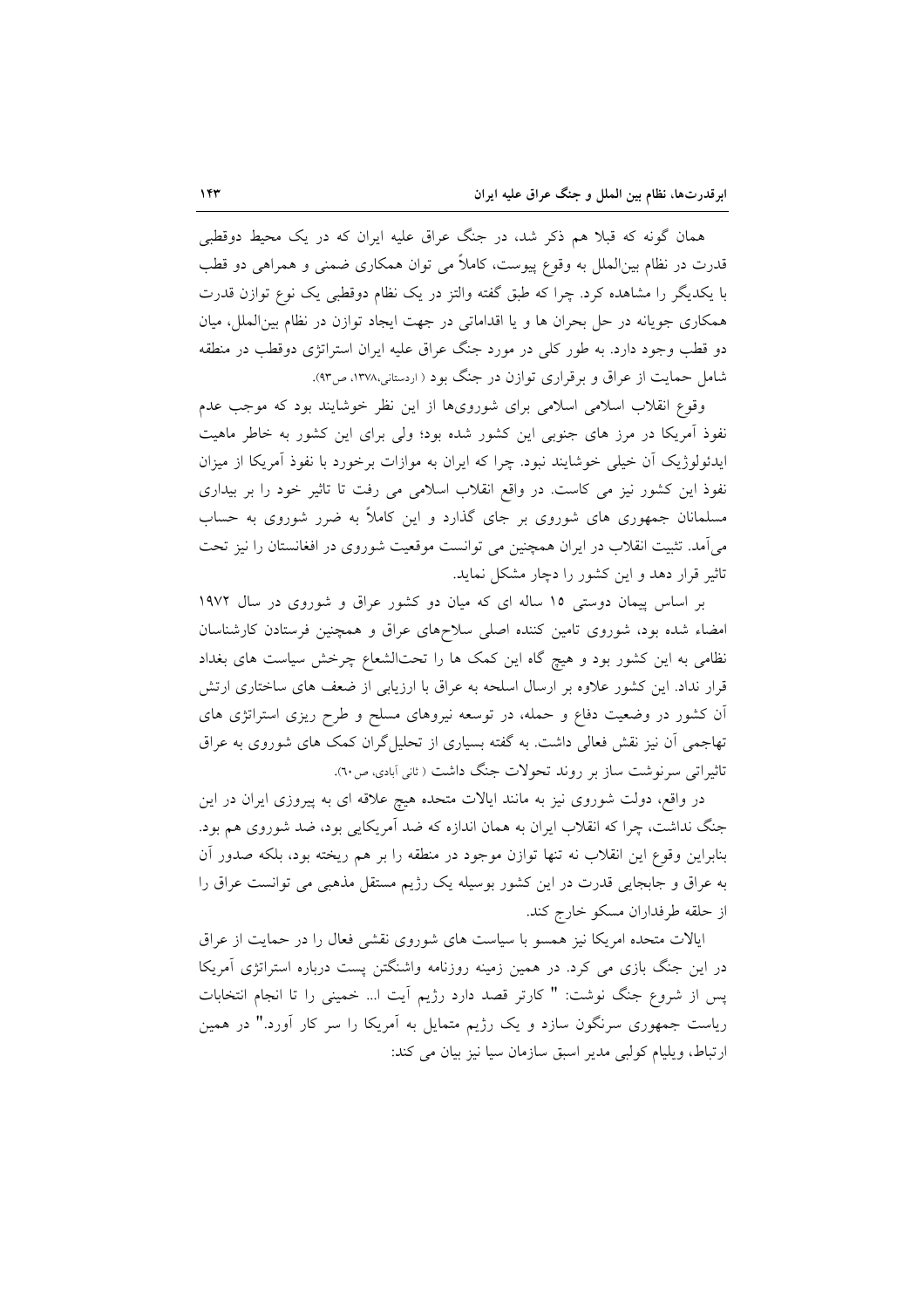همان گونه که قبلا هم ذکر شد، در جنگ عراق علیه ایران که در یک محیط دوقطبی قدرت در نظام بین|لملل به وقوع پیوست، کاملاً می توان همکاری ضمنی و همراهی دو قطب با یکدیگر را مشاهده کرد. چرا که طبق گفته والتز در یک نظام دوقطبی یک نوع توازن قدرت همکاری جویانه در حل بحران ها و یا اقداماتی در جهت ایجاد توازن در نظام بین الملل، میان دو قطب وجود دارد. به طور کلّی در مورد جنگ عراق علیه ایران استراتژی دوقطب در منطقه شامل حمایت از عراق و برقراری توازن در جنگ بود ( اردستانی،۱۳۷۸، ص۹۳).

وقوع انقلاب اسلامی اسلامی برای شورویها از این نظر خوشایند بود که موجب عدم نفوذ آمریکا در مرز های جنوبی این کشور شده بود؛ ولی برای این کشور به خاطر ماهیت ایدئولوژیک اَن خیلی خوشایند نبود. چرا که ایران به موازات برخورد با نفوذ آمریکا از میزان نفوذ این کشور نیز می کاست. در واقع انقلاب اسلامی می رفت تا تاثیر خود را بر بیداری مسلمانان جمهوری های شوروی بر جای گذارد و این کاملاً به ضرر شوروی به حساب می آمد. تثبیت انقلاب در ایران همچنین می توانست موقعیت شوروی در افغانستان را نیز تحت تاثیر قرار دهد و این کشور را دچار مشکل نماید.

بر اساس پیمان دوستی ١٥ ساله ای که میان دو کشور عراق و شوروی در سال ١٩٧٢ امضاء شده بود، شوروی تامین کننده اصلی سلاحهای عراق و همچنین فرستادن کارشناسان نظامی به این کشور بود و هیچ گاه این کمک ها را تحتالشعاع چرخش سیاست های بغداد قرار نداد. این کشور علاوه بر ارسال اسلحه به عراق با ارزیابی از ضعف های ساختاری ارتش آن کشور در وضعیت دفاع و حمله، در توسعه نیروهای مسلح و طرح ریزی استراتژی های تهاجمی آن نیز نقش فعالی داشت. به گفته بسیاری از تحلیل گران کمک های شوروی به عراق تاثیراتی سرنوشت ساز بر روند تحولات جنگ داشت ( ثانی آبادی، ص٦٠).

در واقع، دولت شوروی نیز به مانند ایالات متحده هیچ علاقه ای به پیروزی ایران در این جنگ نداشت، چرا که انقلاب ایران به همان اندازه که ضد آمریکایی بود، ضد شوروی هم بود. بنابراین وقوع این انقلاب نه تنها توازن موجود در منطقه را بر هم ریخته بود، بلکه صدور أن به عراق و جابجایی قدرت در این کشور بوسیله یک رژیم مستقل مذهبی می توانست عراق را از حلقه طرفداران مسکو خارج کند.

ایالات متحده امریکا نیز همسو با سیاست های شوروی نقشی فعال را در حمایت از عراق در این جنگ بازی می کرد. در همین زمینه روزنامه واشنگتن پست درباره استراتژی آمریکا يس از شروع جنگ نوشت: " كارتر قصد دارد رژيم آيت ا... خميني را تا انجام انتخابات ریاست جمهوری سرنگون سازد و یک رژیم متمایل به آمریکا را سر کار آورد." در همین ارتباط، ويليام كولبي مدير اسبق سازمان سيا نيز بيان مي كند: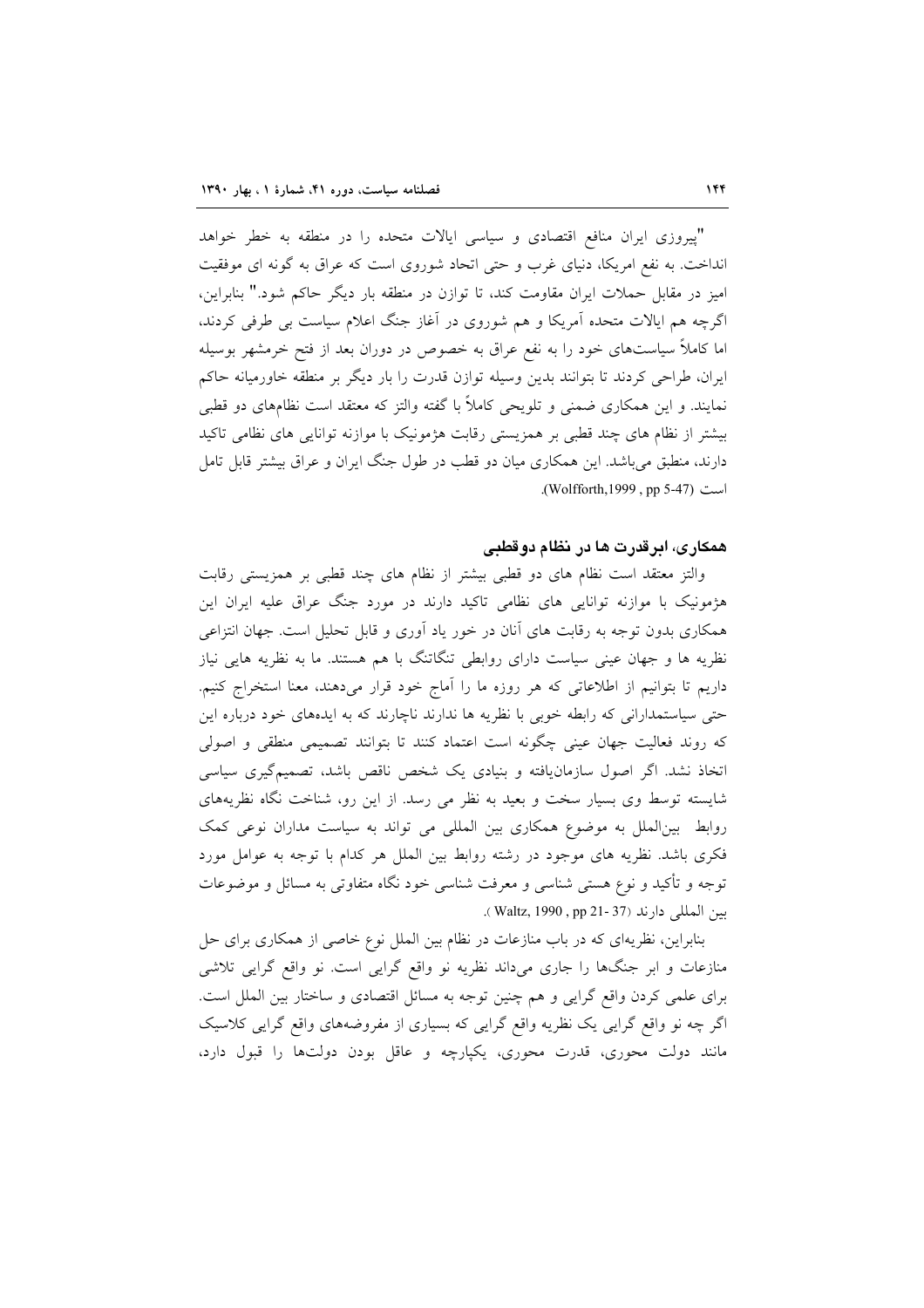"پیروزی ایران منافع اقتصادی و سیاسی ایالات متحده را در منطقه به خطر خواهد انداخت. به نفع امریکا، دنیای غرب و حتی اتحاد شوروی است که عراق به گونه ای موفقیت امیز در مقابل حملات ایران مقاومت کند، تا توازن در منطقه بار دیگر حاکم شود." بنابراین، اگرچه هم ایالات متحده آمریکا و هم شوروی در آغاز جنگ اعلام سیاست بی طرفی کردند، اما کاملاً سیاستهای خود را به نفع عراق به خصوص در دوران بعد از فتح خرمشهر بوسیله ایران، طراحی کردند تا بتوانند بدین وسیله توازن قدرت را بار دیگر بر منطقه خاورمیانه حاکم نمایند. و این همکاری ضمنی و تلویحی کاملاً با گفته والتز که معتقد است نظامهای دو قطبی بیشتر از نظام های چند قطبی بر همزیستی رقابت هژمونیک با موازنه توانایی های نظامی تاکید دارند، منطبق می باشد. این همکاری میان دو قطب در طول جنگ ایران و عراق بیشتر قابل تامل است (Wolfforth, 1999, pp 5-47).

#### همکاری، ابرقدرت ها در نظام دوقطبی

والتز معتقد است نظام های دو قطبی بیشتر از نظام های چند قطبی بر همزیستی رقابت هژمونیک با موازنه توانایی های نظامی تاکید دارند در مورد جنگ عراق علیه ایران این همکاری بدون توجه به رقابت های آنان در خور یاد آوری و قابل تحلیل است. جهان انتزاعی نظریه ها و جهان عینی سیاست دارای روابطی تنگاتنگ با هم هستند. ما به نظریه هایی نیاز داریم تا بتوانیم از اطلاعاتی که هر روزه ما را آماج خود قرار میدهند، معنا استخراج کنیم. حتی سیاستمدارانی که رابطه خوبی با نظریه ها ندارند ناچارند که به ایدههای خود درباره این که روند فعالیت جهان عینی چگونه است اعتماد کنند تا بتوانند تصمیمی منطقی و اصولی اتخاذ نشد. اگر اصول سازمانیافته و بنیادی یک شخص ناقص باشد، تصمیمگیری سیاسی شایسته توسط وی بسیار سخت و بعید به نظر می رسد. از این رو، شناخت نگاه نظریههای روابط ً بینالملل به موضوع همکاری بین المللی می تواند به سیاست مداران نوعی کمک فکری باشد. نظریه های موجود در رشته روابط بین الملل هر کدام با توجه به عوامل مورد توجه و تأکید و نوع هستی شناسی و معرفت شناسی خود نگاه متفاوتی به مسائل و موضوعات بين المللي دارند (Waltz, 1990, pp 21- 37).

بنابراین، نظریهای که در باب منازعات در نظام بین الملل نوع خاصی از همکاری برای حل منازعات و ابر جنگها را جاری میداند نظریه نو واقع گرایی است. نو واقع گرایی تلاشی برای علمی کردن واقع گرایی و هم چنین توجه به مسائل اقتصادی و ساختار بین الملل است. اگر چه نو واقع گرایی یک نظریه واقع گرایی که بسیاری از مفروضههای واقع گرایی کلاسیک مانند دولت محوري، قدرت محوري، يكپارچه و عاقل بودن دولتها را قبول دارد،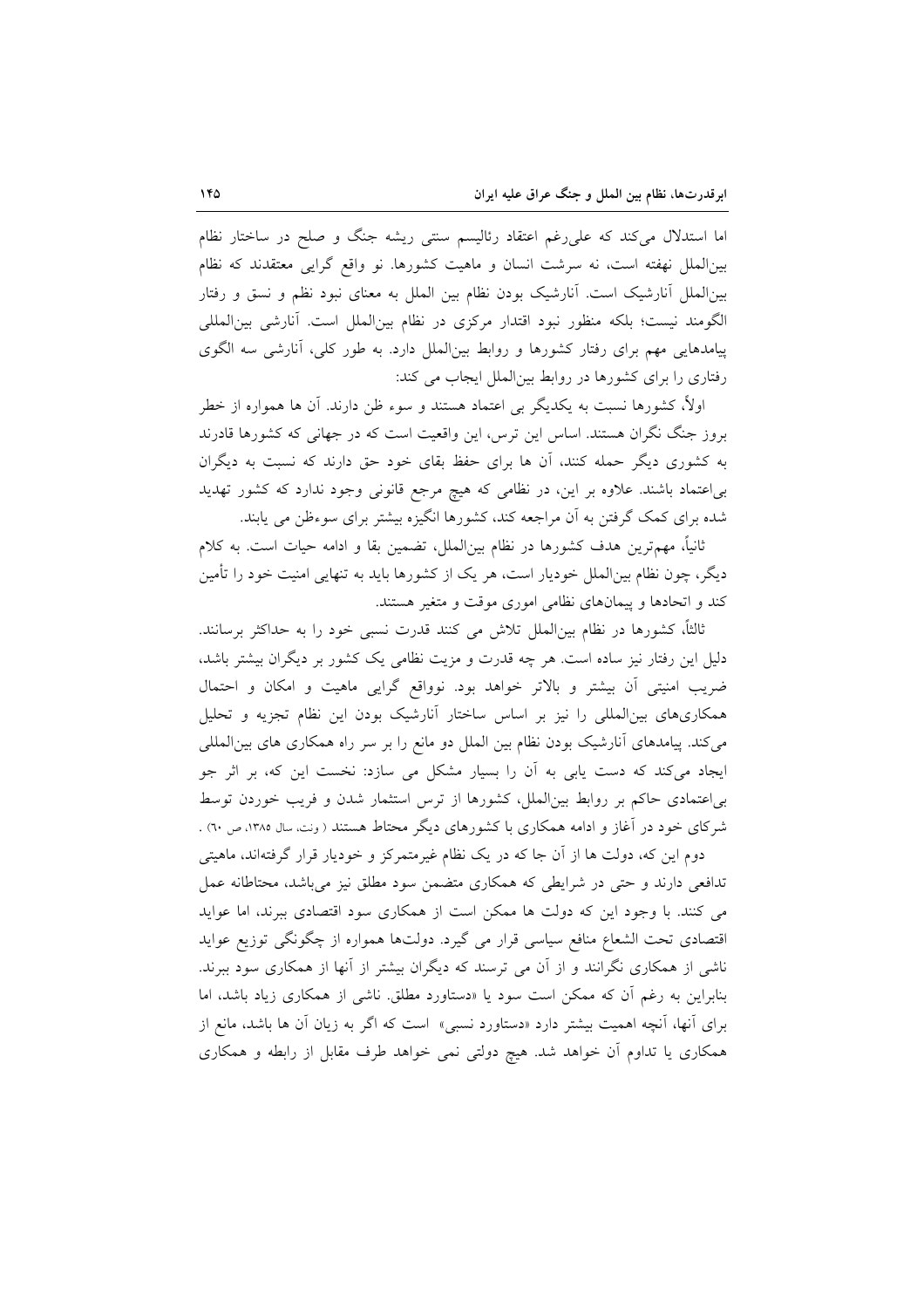اما استدلال میکند که علی رغم اعتقاد رئالیسم سنتی ریشه جنگ و صلح در ساختار نظام بینالملل نهفته است، نه سرشت انسان و ماهیت کشورها. نو واقع گرایی معتقدند که نظام بینالملل أنارشیک است. أنارشیک بودن نظام بین الملل به معنای نبود نظم و نسق و رفتار الگومند نیست؛ بلکه منظور نبود اقتدار مرکزی در نظام بینالملل است. آنارشی بینالمللی پیامدهایی مهم برای رفتار کشورها و روابط بینالملل دارد. به طور کلی، آنارشی سه الگوی رفتاری را برای کشورها در روابط بین الملل ایجاب می کند:

اولاً، کشورها نسبت به یکدیگر بی اعتماد هستند و سوء ظن دارند. آن ها همواره از خطر بروز جنگ نگران هستند. اساس این ترس، این واقعیت است که در جهانی که کشورها قادرند به کشوری دیگر حمله کنند، أن ها برای حفظ بقای خود حق دارند که نسبت به دیگران بی اعتماد باشند. علاوه بر این، در نظامی که هیچ مرجع قانونی وجود ندارد که کشور تهدید شده برای کمک گرفتن به آن مراجعه کند، کشورها انگیزه بیشتر برای سوءِظن می پابند.

ثانیاً، مهمترین هدف کشورها در نظام بین|لملل، تضمین بقا و ادامه حیات است. به کلام دیگر، چون نظام بین|لملل خودیار است، هر یک از کشورها باید به تنهایی امنیت خود را تأمین کند و اتحادها و پیمانهای نظامی اموری موقت و متغیر هستند.

ثالثاً، كشورها در نظام بين|لملل تلاش مى كنند قدرت نسبى خود را به حداكثر برسانند. دلیل این رفتار نیز ساده است. هر چه قدرت و مزیت نظامی یک کشور بر دیگران بیشتر باشد، ضریب امنیتی آن بیشتر و بالاتر خواهد بود. نوواقع گرایی ماهیت و امکان و احتمال همکاریهای بینالمللی را نیز بر اساس ساختار آنارشیک بودن این نظام تجزیه و تحلیل می کند. پیامدهای آنارشیک بودن نظام بین الملل دو مانع را بر سر راه همکاری های بین المللی ایجاد میکند که دست یابی به آن را بسیار مشکل می سازد: نخست این که، بر اثر جو بی|عتمادی حاکم بر روابط بین|لملل، کشورها از ترس استثمار شدن و فریب خوردن توسط شرکای خود در آغاز و ادامه همکاری با کشورهای دیگر محتاط هستند ( ونت، سال ۱۳۸۵، ص ٦٠) .

دوم این که، دولت ها از آن جا که در یک نظام غیرمتمرکز و خودیار قرار گرفتهاند، ماهیتی تدافعی دارند و حتی در شرایطی که همکاری متضمن سود مطلق نیز میباشد، محتاطانه عمل می کنند. با وجود این که دولت ها ممکن است از همکاری سود اقتصادی ببرند، اما عواید اقتصادی تحت الشعاع منافع سیاسی قرار می گیرد. دولتها همواره از چگونگی توزیع عواید ناشی از همکاری نگرانند و از آن می ترسند که دیگران بیشتر از آنها از همکاری سود ببرند. بنابراین به رغم آن که ممکن است سود یا «دستاورد مطلق ناشی از همکاری زیاد باشد، اما برای آنها، آنچه اهمیت بیشتر دارد «دستاورد نسب<sub>ی</sub>» است که اگر به زیان آن ها باشد، مانع از همکاری یا تداوم آن خواهد شد. هیچ دولتی نمی خواهد طرف مقابل از رابطه و همکاری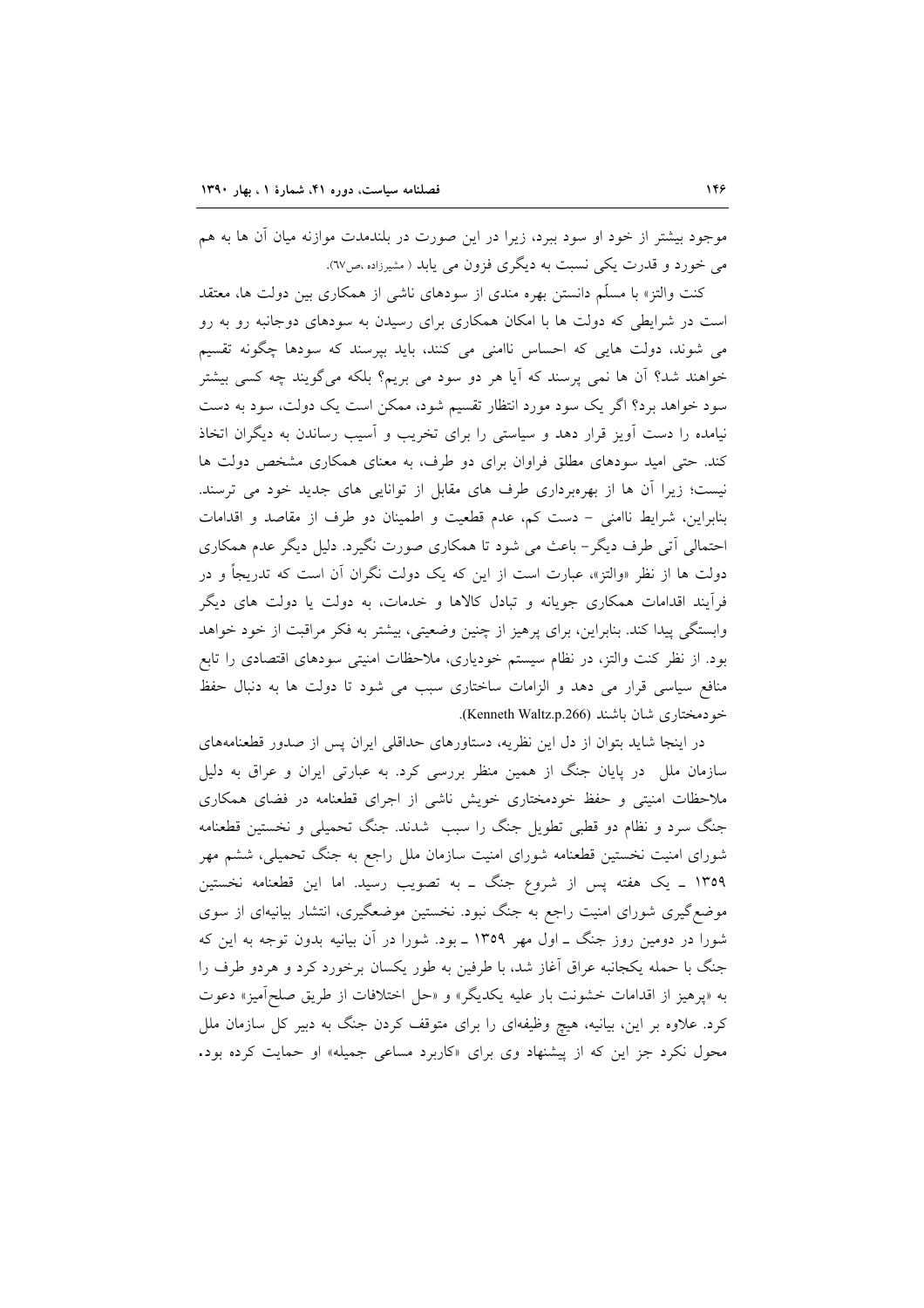موجود بیشتر از خود او سود ببرد، زیرا در این صورت در بلندمدت موازنه میان آن ها به هم مي خورد و قدرت يکي نسبت به ديگري فزون مي يابد ( مشيرزاده ،ص٦٧).

کنت والتز» با مسلّم دانستن بهره مندی از سودهای ناش<sub>ع</sub> از همکاری بین دولت ها، معتقد است در شرایطی که دولت ها با امکان همکاری برای رسیدن به سودهای دوجانبه رو به رو می شوند، دولت هایی که احساس ناامنی می کنند، باید بپرسند که سودها چگونه تقسیم خواهند شد؟ آن ها نمی پرسند که آیا هر دو سود می بریم؟ بلکه میگویند چه کسی بیشتر سود خواهد برد؟ اگر یک سود مورد انتظار تقسیم شود، ممکن است یک دولت، سود به دست نیامده را دست آویز قرار دهد و سیاستی را برای تخریب و آسیب رساندن به دیگران اتخاذ کند. حتی امید سودهای مطلق فراوان برای دو طرف، به معنای همکاری مشخص دولت ها نیست؛ زیرا آن ها از بهرهبرداری طرف های مقابل از توانایی های جدید خود می ترسند. بنابراین، شرایط ناامنی – دست کم، عدم قطعیت و اطمینان دو طرف از مقاصد و اقدامات احتمالی اتّی طرف دیگر– باعث می شود تا همکاری صورت نگیرد. دلیل دیگر عدم همکاری دولت ها از نظر «والتز»، عبارت است از این که یک دولت نگران آن است که تدریجاً و در فراًیند اقدامات همکاری جویانه و تبادل کالاها و خدمات، به دولت یا دولت های دیگر وابستگی پیدا کند. بنابراین، برای پرهیز از چنین وضعیتی، بیشتر به فکر مراقبت از خود خواهد بود. از نظر کنت والتز، در نظام سیستم خودیاری، ملاحظات امنیتی سودهای اقتصادی را تابع منافع سیاسی قرار می دهد و الزامات ساختاری سبب می شود تا دولت ها به دنبال حفظ خودمختاري شان باشند (Kenneth Waltz.p.266).

در اینجا شاید بتوان از دل این نظریه، دستاورهای حداقلی ایران پس از صدور قطعنامههای سازمان ملل ً در پایان جنگ از همین منظر بررسی کرد. به عبارتی ایران و عراق به دلیل ملاحظات امنیتی و حفظ خودمختاری خویش ناشی از اجرای قطعنامه در فضای همکاری جنگ سرد و نظام دو قطبی تطویل جنگ را سبب شدند. جنگ تحمیلی و نخستین قطعنامه شورای امنیت نخستین قطعنامه شورای امنیت سازمان ملل راجع به جنگ تحمیلی، ششم مهر ۱۳۵۹ ـ یک هفته پس از شروع جنگ ــ به تصویب رسید. اما این قطعنامه نخستین موضع گیری شورای امنیت راجع به جنگ نبود. نخستین موضعگیری، انتشار بیانیهای از سوی شورا در دومین روز جنگ ـ اول مهر ۱۳۵۹ ـ بود. شورا در آن بیانیه بدون توجه به این که جنگ با حمله یکجانبه عراق آغاز شد، با طرفین به طور یکسان برخورد کرد و هردو طرف را به «پرهيز از اقدامات خشونت بار عليه يكديگر» و «حل اختلافات از طريق صلح آميز» دعوت کرد. علاوه بر این، بیانیه، هیچ وظیفهای را برای متوقف کردن جنگ به دبیر کل سازمان ملل محول نکرد جز این که از پیشنهاد وی برای «کاربرد مساعی جمیله» او حمایت کرده بود.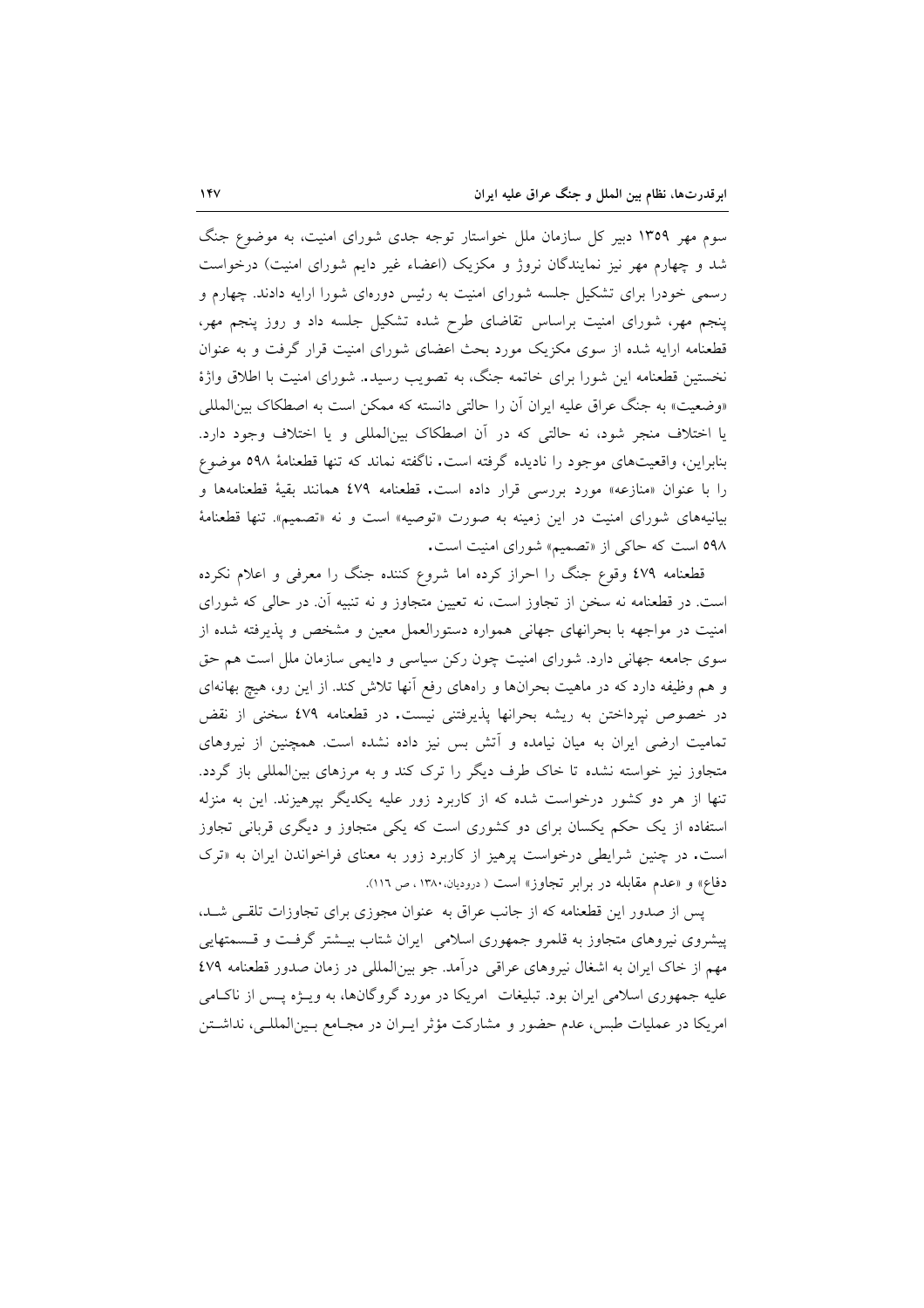سوم مهر ۱۳۵۹ دبیر کل سازمان ملل خواستار توجه جدی شورای امنیت، به موضوع جنگ شد و چهارم مهر نیز نمایندگان نروژ و مکزیک (اعضاء غیر دایم شورای امنیت) درخواست رسمی خودرا برای تشکیل جلسه شورای امنیت به رئیس دورهای شورا ارایه دادند. چهارم و پنجم مهر، شورای امنیت براساس تقاضای طرح شده تشکیل جلسه داد و روز پنجم مهر، قطعنامه ارایه شده از سوی مکزیک مورد بحث اعضای شورای امنیت قرار گرفت و به عنوان نخستین قطعنامه این شورا برای خاتمه جنگ، به تصویب رسید. شورای امنیت با اطلاق واژهٔ «وضعیت» به جنگ عراق علیه ایران آن را حالتی دانسته که ممکن است به اصطکاک بین المللی یا اختلاف منجر شود، نه حالتی که در آن اصطکاک بینالمللی و یا اختلاف وجود دارد. بنابراین، واقعیتهای موجود را نادیده گرفته است. ناگفته نماند که تنها قطعنامهٔ ٥٩٨ موضوع را با عنوان «منازعه» مورد بررسی قرار داده است. قطعنامه ٤٧٩ همانند بقيهٔ قطعنامهها و بیانیههای شورای امنیت در این زمینه به صورت «توصیه» است و نه «تصمیم». تنها قطعنامهٔ ٥٩٨ است كه حاكي از «تصميم» شوراي امنيت است.

قطعنامه ٤٧٩ وقوع جنگ را احراز كرده اما شروع كننده جنگ را معرفى و اعلام نكرده است. در قطعنامه نه سخن از تجاوز است، نه تعیین متجاوز و نه تنبیه آن. در حالی که شورای امنیت در مواجهه با بحرانهای جهانی همواره دستورالعمل معین و مشخص و پذیرفته شده از سوی جامعه جهانی دارد. شورای امنیت چون رکن سیاسی و دایمی سازمان ملل است هم حق و هم وظیفه دارد که در ماهیت بحرانها و راههای رفع انها تلاش کند. از این رو، هیچ بهانهای در خصوص نپرداختن به ریشه بحرانها پذیرفتنی نیست. در قطعنامه ٤٧٩ سخنی از نقض تمامیت ارضی ایران به میان نیامده و آتش بس نیز داده نشده است. همچنین از نیروهای متجاوز نیز خواسته نشده تا خاک طرف دیگر را ترک کند و به مرزهای بینالمللی باز گردد. تنها از هر دو کشور درخواست شده که از کاربرد زور علیه یکدیگر بیرهیزند. این به منزله استفاده از یک حکم یکسان برای دو کشوری است که یکی متجاوز و دیگری قربانی تجاوز است. در چنین شرایطی درخواست پرهیز از کاربرد زور به معنای فراخواندن ایران به «ترک دفاع» و «عدم مقابله در برابر تجاوز» است ( درودیان.۱۳۸۰، ص ۱۱٦).

یس از صدور این قطعنامه که از جانب عراق به عنوان مجوزی برای تجاوزات تلقبی شـد، پیشروی نیروهای متجاوز به قلمرو جمهوری اسلامی ایران شتاب بیـشتر گرفـت و قـسمتهایی مهم از خاک ایران به اشغال نیروهای عراقبی درآمد. جو بینالمللی در زمان صدور قطعنامه ٤٧٩ علیه جمهوری اسلامی ایران بود. تبلیغات ً امریکا در مورد گروگانها، به ویـژه پـس از ناکـامی امریکا در عملیات طبس، عدم حضور و مشارکت مؤثر ایــران در مجــامع بــین|لمللــی، نداشــتن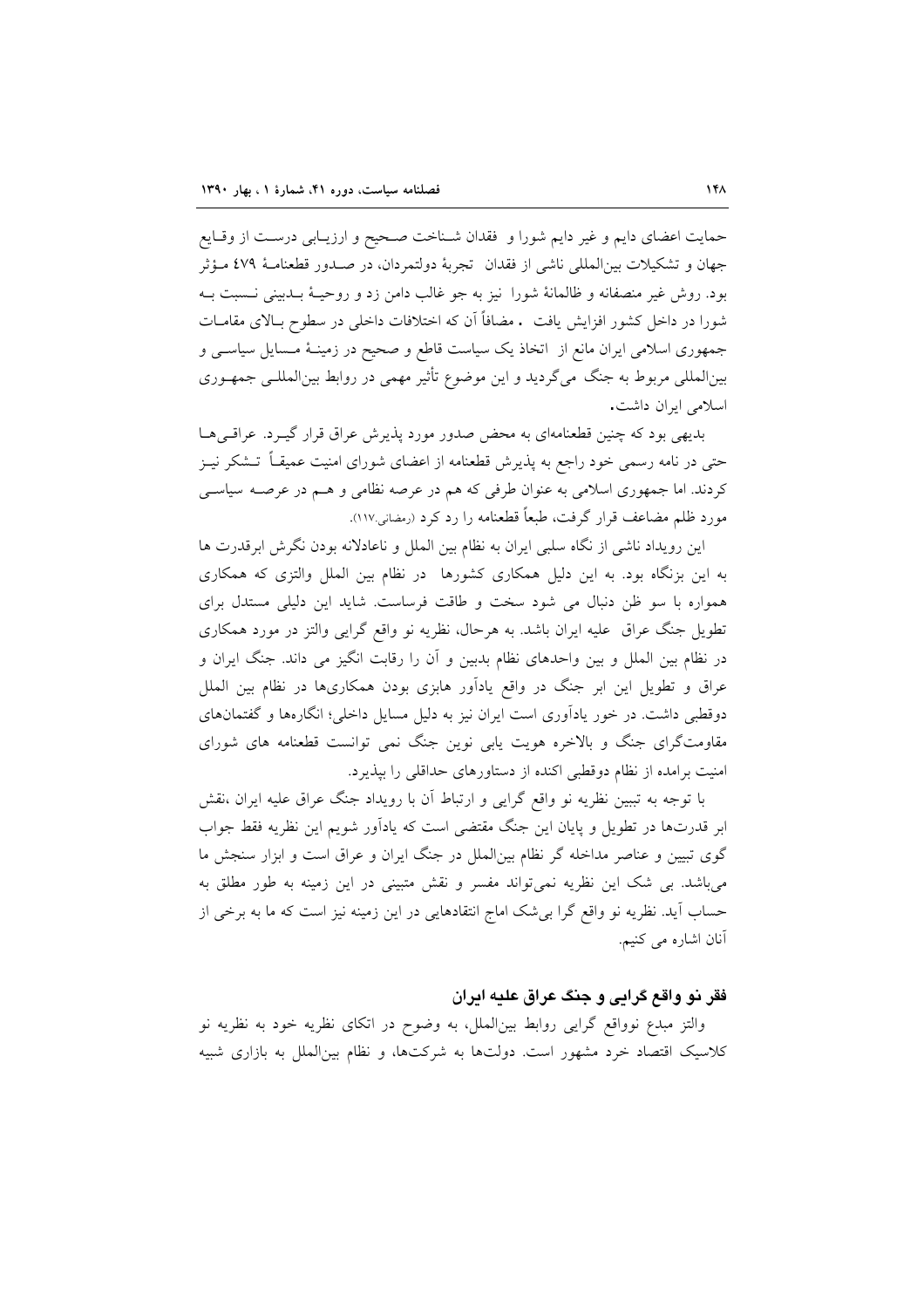حمایت اعضای دایم و غیر دایم شورا و فقدان شـناخت صـحیح و ارزیـابی درسـت از وقـایع جهان و تشكيلات بين|لمللي ناشي از فقدان تجربهٔ دولتمردان، در صـدور قطعنامـهٔ ٤٧٩ مـؤثر بود. روش غیر منصفانه و ظالمانهٔ شورا نیز به جو غالب دامن زد و روحیـهٔ بــدبینی نــسبت بــه شورا در داخل کشور افزایش یافت . مضافاً آن که اختلافات داخلی در سطوح بـالای مقامــات جمهوری اسلامی ایران مانع از اتخاذ یک سیاست قاطع و صحیح در زمینـهٔ مــسایل سیاســی و بینالمللی مربوط به جنگ میگردید و این موضوع تأثیر مهمی در روابط بینالمللــی جمهــوری اسلامی ابران داشت.

بدیهی بود که چنین قطعنامهای به محض صدور مورد پذیرش عراق قرار گیـرد. عراقـم هـا حتی در نامه رسمی خود راجع به پذیرش قطعنامه از اعضای شورای امنیت عمیقــاً تـــشکر نیــز کردند. اما جمهوری اسلامی به عنوان طرفی که هم در عرصه نظامی و هـم در عرصـه سیاســی مورد ظلم مضاعف قرار گرفت، طبعاً قطعنامه را رد کرد (رمضانی ۱۱۷).

این رویداد ناشی از نگاه سلبی ایران به نظام بین الملل و ناعادلانه بودن نگرش ابرقدرت ها به این بزنگاه بود. به این دلیل همکاری کشورها در نظام بین الملل والتزی که همکاری همواره با سو ظن دنبال می شود سخت و طاقت فرساست. شاید این دلیلی مستدل برای تطویل جنگ عراق علیه ایران باشد. به هرحال، نظریه نو واقع گرایی والتز در مورد همکاری در نظام بین الملل و بین واحدهای نظام بدبین و آن را رقابت انگیز می داند. جنگ ایران و عراق و تطویل این ابر جنگ در واقع یادآور هابزی بودن همکاریها در نظام بین الملل دوقطبی داشت. در خور یادآوری است ایران نیز به دلیل مسایل داخلی؛ انگارهها و گفتمانهای مقاومتگرای جنگ و بالاخره هویت یابی نوین جنگ نمی توانست قطعنامه های شورای امنیت برامده از نظام دوقطبی اکنده از دستاورهای حداقلی را بپذیرد.

با توجه به تببین نظریه نو واقع گرایی و ارتباط آن با رویداد جنگ عراق علیه ایران ،نقش ابر قدرتها در تطویل و پایان این جنگ مقتضی است که یادآور شویم این نظریه فقط جواب گوی تبیین و عناصر مداخله گر نظام بینالملل در جنگ ایران و عراق است و ابزار سنجش ما میباشد. بی شک این نظریه نمی تواند مفسر و نقش متبینی در این زمینه به طور مطلق به حساب آيد. نظريه نو واقع گرا بي شک اماج انتقادهايي در اين زمينه نيز است که ما به برخي از آنان اشاره می کنیم.

# فقر نو واقع گرايي و جنگ عراق عليه ايران

والتز مبدع نوواقع گرایی روابط بین|لملل، به وضوح در اتکای نظریه خود به نظریه نو کلاسیک اقتصاد خرد مشهور است. دولتها به شرکتها، و نظام بین الملل به بازاری شبیه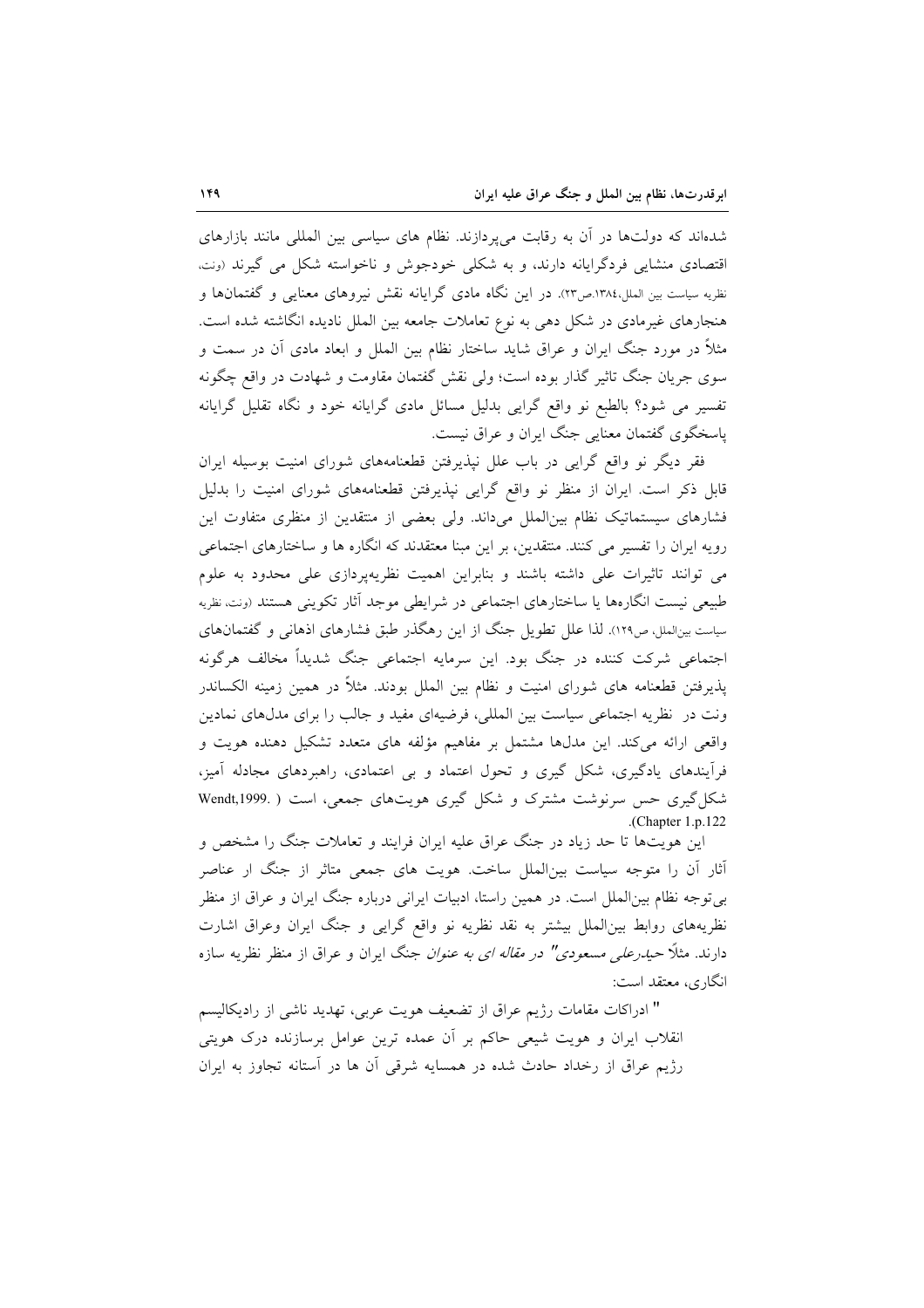شدهاند که دولتها در آن به رقابت میپردازند. نظام های سیاسی بین المللی مانند بازارهای اقتصادی منشایی فردگرایانه دارند، و به شکلی خودجوش و ناخواسته شکل می گیرند (ونت، نظریه سیاست بین الملل،۱۳۸٤.ص۲۳. در این نگاه مادی گرایانه نقش نیروهای معنایی و گفتمانها و هنجارهای غیرمادی در شکل دهی به نوع تعاملات جامعه بین الملل نادیده انگاشته شده است. مثلاً در مورد جنگ ایران و عراق شاید ساختار نظام بین الملل و ابعاد مادی آن در سمت و سوی جریان جنگ تاثیر گذار بوده است؛ ولی نقش گفتمان مقاومت و شهادت در واقع چگونه تفسیر می شود؟ بالطبع نو واقع گرایی بدلیل مسائل مادی گرایانه خود و نگاه تقلیل گرایانه پاسخگوی گفتمان معنایی جنگ ایران و عراق نیست.

فقر دیگر نو واقع گرایی در باب علل نپذیرفتن قطعنامههای شورای امنیت بوسیله ایران قابل ذکر است. ایران از منظر نو واقع گرایی نیذیرفتن قطعنامههای شورای امنیت را بدلیل فشارهای سیستماتیک نظام بین|لملل میداند. ولی بعضی از منتقدین از منظری متفاوت این رویه ایران را تفسیر می کنند. منتقدین، بر این مبنا معتقدند که انگاره ها و ساختارهای اجتماعی می توانند تاثیرات علی داشته باشند و بنابراین اهمیت نظریهپردازی علی محدود به علوم طبیعی نیست انگارهها یا ساختارهای اجتماعی در شرایطی موجد آثار تکوینی هستند (ونت نظریه سیاست بینالملل، ص۱۲۹). لذا علل تطویل جنگ از این رهگذر طبق فشارهای اذهانی و گفتمانهای اجتماعی شرکت کننده در جنگ بود. این سرمایه اجتماعی جنگ شدیداً مخالف هرگونه پذیرفتن قطعنامه های شورای امنیت و نظام بین الملل بودند. مثلاً در همین زمینه الکساندر ونت در نظریه اجتماعی سیاست بین المللی، فرضیهای مفید و جالب را برای مدلهای نمادین واقعی ارائه می کند. این مدلها مشتمل بر مفاهیم مؤلفه های متعدد تشکیل دهنده هویت و فرآیندهای یادگیری، شکل گیری و تحول اعتماد و بی اعتمادی، راهبردهای مجادله آمیز، شکل گیری حس سرنوشت مشترک و شکل گیری هویتهای جمعی، است ( .Wendt,1999 .(Chapter  $1.p.122$ 

این هویتها تا حد زیاد در جنگ عراق علیه ایران فرایند و تعاملات جنگ را مشخص و آثار آن را متوجه سیاست بین|لملل ساخت. هویت های جمعی متاثر از جنگ ار عناصر بی توجه نظام بین|لملل است. در همین راستا، ادبیات ایرانی درباره جنگ ایران و عراق از منظر نظریههای روابط بین|لملل بیشتر به نقد نظریه نو واقع گرایی و جنگ ایران وعراق اشارت دارند. مثلاً ح*یدرعل<sub>ی</sub> مسعودی" در مقاله ای به عنوان* جنگ ایران و عراق از منظر نظریه سازه انگاری، معتقد است:

" ادراكات مقامات رژيم عراق از تضعيف هويت عربي، تهديد ناشي از راديكاليسم انقلاب ایران و هویت شیعی حاکم بر أن عمده ترین عوامل برسازنده درک هویتی رژیم عراق از رخداد حادث شده در همسایه شرقی آن ها در آستانه تجاوز به ایران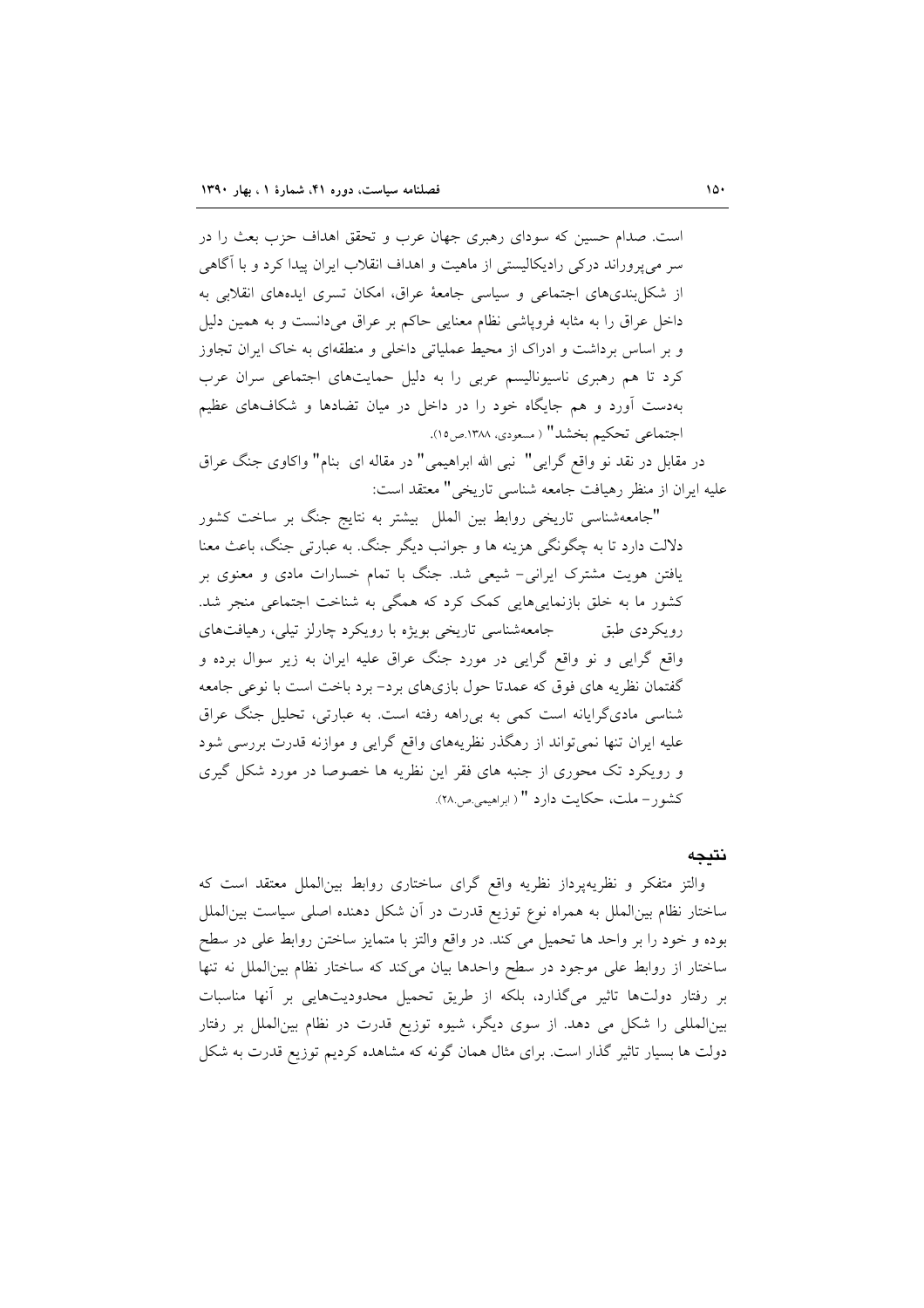است. صدام حسین که سودای رهبری جهان عرب و تحقق اهداف حزب بعث را در سر می پروراند درکی رادیکالیستی از ماهیت و اهداف انقلاب ایران پیدا کرد و با آگاهی از شکل بندیهای اجتماعی و سیاسی جامعهٔ عراق، امکان تسری ایدههای انقلابی به داخل عراق را به مثابه فروپاشی نظام معنایی حاکم بر عراق میدانست و به همین دلیل و بر اساس برداشت و ادراک از محیط عملیاتی داخلی و منطقهای به خاک ایران تجاوز کرد تا هم رهبری ناسیونالیسم عربی را به دلیل حمایتهای اجتماعی سران عرب بهدست آورد و هم جایگاه خود را در داخل در میان تضادها و شکافهای عظیم اجتماعي تحكيم بخشد" (مسعودي، ١٣٨٨.ص١٥).

در مقابل در نقد نو واقع گرایی" نبی الله ابراهیمی" در مقاله ای بنام" واکاوی جنگ عراق عليه ايران از منظر رهيافت جامعه شناسي تاريخي" معتقد است:

"جامعهشناسی تاریخی روابط بین الملل بیشتر به نتایج جنگ بر ساخت کشور دلالت دارد تا به چگونگی هزینه ها و جوانب دیگر جنگ. به عبارتی جنگ، باعث معنا یافتن هویت مشترک ایرانی- شیعی شد. جنگ با تمام خسارات مادی و معنوی بر کشور ما به خلق بازنماییهایی کمک کرد که همگی به شناخت اجتماعی منجر شد. رویکردی طبق مسلحه حامعه شناسی تاریخی بویژه با رویکرد چارلز تیلی، رهیافتهای واقع گرایی و نو واقع گرایی در مورد جنگ عراق علیه ایران به زیر سوال برده و گفتمان نظریه های فوق که عمدتا حول بازیهای برد- برد باخت است با نوعی جامعه شناسی مادیگرایانه است کمی به بیراهه رفته است. به عبارتی، تحلیل جنگ عراق علیه ایران تنها نمی تواند از رهگذر نظریههای واقع گرایی و موازنه قدرت بررسی شود و رویکرد تک محوری از جنبه های فقر این نظریه ها خصوصا در مورد شکل گیری كشور– ملت، حكايت دارد " ( ابراهيمي ص.٢٨).

### نتيجه

والتز متفكر و نظريهپرداز نظريه واقع گراى ساختارى روابط بين الملل معتقد است كه ساختار نظام بینالملل به همراه نوع توزیع قدرت در آن شکل دهنده اصلی سیاست بین|لملل بوده و خود را بر واحد ها تحمیل می کند. در واقع والتز با متمایز ساختن روابط علی در سطح ساختار از روابط على موجود در سطح واحدها بيان مى كند كه ساختار نظام بين الملل نه تنها بر رفتار دولتها تاثیر میگذارد، بلکه از طریق تحمیل محدودیتهایی بر آنها مناسبات بینالمللی را شکل می دهد. از سوی دیگر، شیوه توزیع قدرت در نظام بینالملل بر رفتار دولت ها بسیار تاثیر گذار است. برای مثال همان گونه که مشاهده کردیم توزیع قدرت به شکل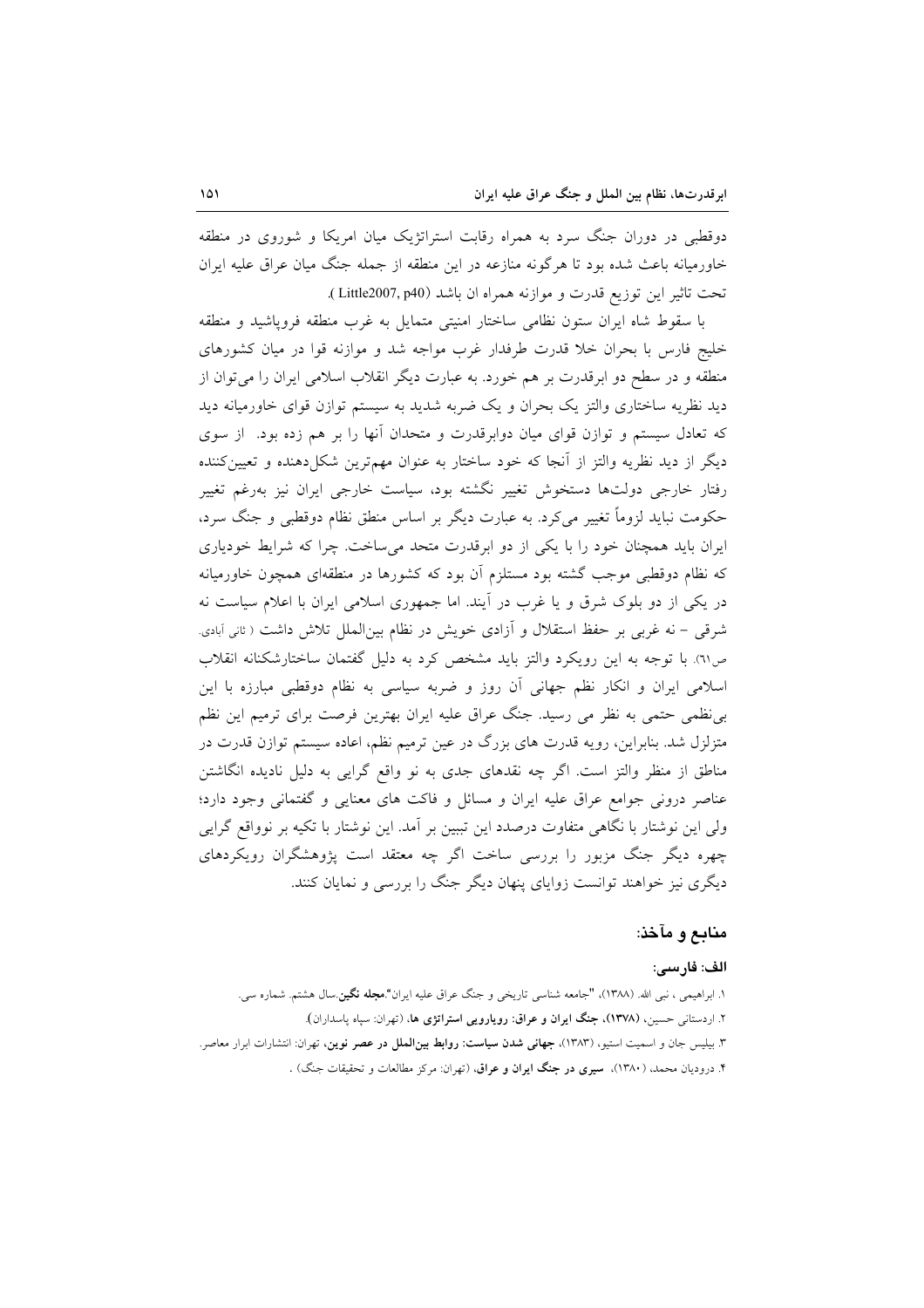دوقطبی در دوران جنگ سرد به همراه رقابت استراتژیک میان امریکا و شوروی در منطقه خاورمیانه باعث شده بود تا هرگونه منازعه در این منطقه از جمله جنگ میان عراق علیه ایران تحت تاثير اين توزيع قدرت و موازنه همراه ان باشد (Little2007, p40).

با سقوط شاه ایران ستون نظامی ساختار امنیتی متمایل به غرب منطقه فرویاشید و منطقه خلیج فارس با بحران خلا قدرت طرفدار غرب مواجه شد و موازنه قوا در میان کشورهای منطقه و در سطح دو ابرقدرت بر هم خورد. به عبارت دیگر انقلاب اسلامی ایران را می توان از دید نظریه ساختاری والتز یک بحران و یک ضربه شدید به سیستم توازن قوای خاورمیانه دید که تعادل سیستم و توازن قوای میان دوابرقدرت و متحدان آنها را بر هم زده بود. از سوی دیگر از دید نظریه والتز از آنجا که خود ساختار به عنوان مهمترین شکل(دهنده و تعیینکننده رفتار خارجی دولتها دستخوش تغییر نگشته بود، سیاست خارجی ایران نیز بهرغم تغییر حکومت نباید لزوماً تغییر می کرد. به عبارت دیگر بر اساس منطق نظام دوقطبی و جنگ سرد، ایران باید همچنان خود را با یکی از دو ابرقدرت متحد میساخت. چرا که شرایط خودیاری که نظام دوقطبی موجب گشته بود مستلزم آن بود که کشورها در منطقهای همچون خاورمیانه در یکی از دو بلوک شرق و یا غرب در آیند. اما جمهوری اسلامی ایران با اعلام سیاست نه شرقی – نه غربی بر حفظ استقلال و آزادی خویش در نظام بین|لملل تلاش داشت ( ثانی آبادی. ص ٦١). با توجه به اين رويكرد والتز بايد مشخص كرد به دليل گفتمان ساختارشكنانه انقلاب اسلامی ایران و انکار نظم جهانی آن روز و ضربه سیاسی به نظام دوقطبی مبارزه با این بی نظمی حتمی به نظر می رسید. جنگ عراق علیه ایران بهترین فرصت برای ترمیم این نظم متزلزل شد. بنابراین، رویه قدرت های بزرگ در عین ترمیم نظم، اعاده سیستم توازن قدرت در مناطق از منظر والتز است. اگر چه نقدهای جدی به نو واقع گرایی به دلیل نادیده انگاشتن عناصر درونی جوامع عراق علیه ایران و مسائل و فاکت های معنایی و گفتمانی وجود دارد؛ ولی این نوشتار با نگاهی متفاوت درصدد این تببین بر آمد. این نوشتار با تکیه بر نوواقع گرایی چهره دیگر جنگ مزبور را بررسی ساخت اگر چه معتقد است پژوهشگران رویکردهای دیگری نیز خواهند توانست زوایای پنهان دیگر جنگ را بررسی و نمایان کنند.

## منابع و مآخذ:

#### الف: فارسى:

۱. ابراهیمی ، نبی الله. (۱۳۸۸)، "جامعه شناسی تاریخی و جنگ عراق علیه ایران".م**جله نگین**.سال هشتم. شماره سی. ۲. اردستانی حسین، (۱۳۷۸)، جنگ ایران و عراق: رویارویی استراتژی ها، (تهران: سیاه یاسداران). ۳. بیلیس جان و اسمیت استیو، (۱۳۸۳)، **جهانی شدن سیاست: روابط بین الملل در عصر نوین**، تهران: انتشارات ابرار معاصر. ۴. درودیان محمد، (۱۳۸۰)، **سیری در جنگ ایران و عراق**، (تهران: مرکز مطالعات و تحقیقات جنگ) .